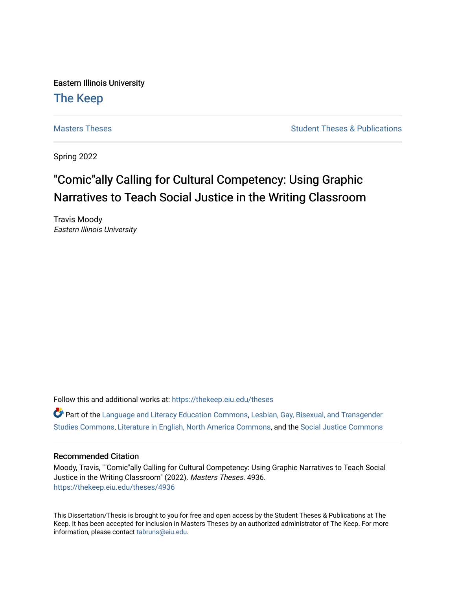Eastern Illinois University

## [The Keep](https://thekeep.eiu.edu/)

[Masters Theses](https://thekeep.eiu.edu/theses) **Student Theses & Publications** Student Theses & Publications

Spring 2022

## "Comic"ally Calling for Cultural Competency: Using Graphic Narratives to Teach Social Justice in the Writing Classroom

Travis Moody Eastern Illinois University

Follow this and additional works at: [https://thekeep.eiu.edu/theses](https://thekeep.eiu.edu/theses?utm_source=thekeep.eiu.edu%2Ftheses%2F4936&utm_medium=PDF&utm_campaign=PDFCoverPages)

Part of the [Language and Literacy Education Commons,](https://network.bepress.com/hgg/discipline/1380?utm_source=thekeep.eiu.edu%2Ftheses%2F4936&utm_medium=PDF&utm_campaign=PDFCoverPages) [Lesbian, Gay, Bisexual, and Transgender](https://network.bepress.com/hgg/discipline/560?utm_source=thekeep.eiu.edu%2Ftheses%2F4936&utm_medium=PDF&utm_campaign=PDFCoverPages) [Studies Commons,](https://network.bepress.com/hgg/discipline/560?utm_source=thekeep.eiu.edu%2Ftheses%2F4936&utm_medium=PDF&utm_campaign=PDFCoverPages) [Literature in English, North America Commons,](https://network.bepress.com/hgg/discipline/458?utm_source=thekeep.eiu.edu%2Ftheses%2F4936&utm_medium=PDF&utm_campaign=PDFCoverPages) and the [Social Justice Commons](https://network.bepress.com/hgg/discipline/1432?utm_source=thekeep.eiu.edu%2Ftheses%2F4936&utm_medium=PDF&utm_campaign=PDFCoverPages)

#### Recommended Citation

Moody, Travis, ""Comic"ally Calling for Cultural Competency: Using Graphic Narratives to Teach Social Justice in the Writing Classroom" (2022). Masters Theses. 4936. [https://thekeep.eiu.edu/theses/4936](https://thekeep.eiu.edu/theses/4936?utm_source=thekeep.eiu.edu%2Ftheses%2F4936&utm_medium=PDF&utm_campaign=PDFCoverPages) 

This Dissertation/Thesis is brought to you for free and open access by the Student Theses & Publications at The Keep. It has been accepted for inclusion in Masters Theses by an authorized administrator of The Keep. For more information, please contact [tabruns@eiu.edu](mailto:tabruns@eiu.edu).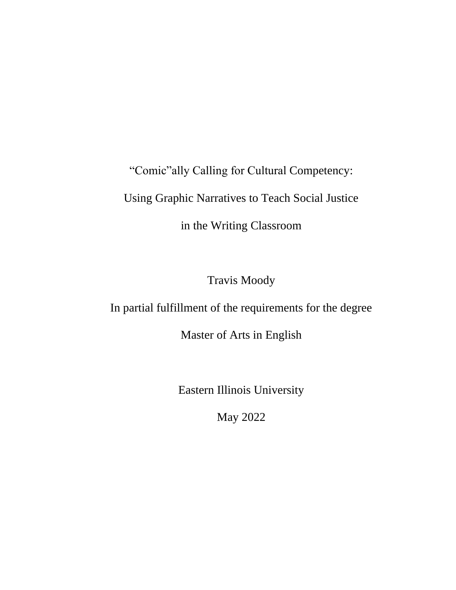"Comic"ally Calling for Cultural Competency: Using Graphic Narratives to Teach Social Justice in the Writing Classroom

Travis Moody

In partial fulfillment of the requirements for the degree

Master of Arts in English

Eastern Illinois University

May 2022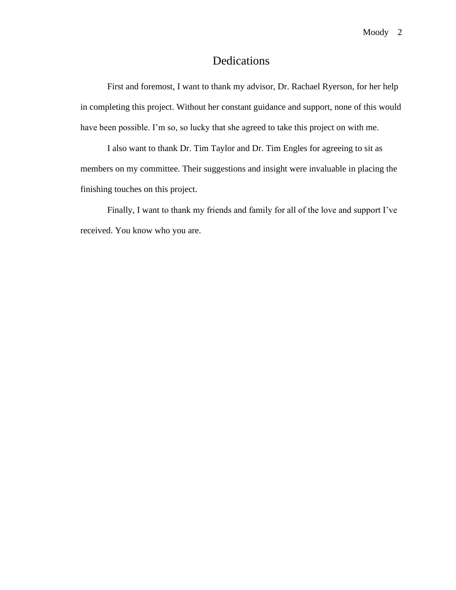#### Dedications

First and foremost, I want to thank my advisor, Dr. Rachael Ryerson, for her help in completing this project. Without her constant guidance and support, none of this would have been possible. I'm so, so lucky that she agreed to take this project on with me.

I also want to thank Dr. Tim Taylor and Dr. Tim Engles for agreeing to sit as members on my committee. Their suggestions and insight were invaluable in placing the finishing touches on this project.

Finally, I want to thank my friends and family for all of the love and support I've received. You know who you are.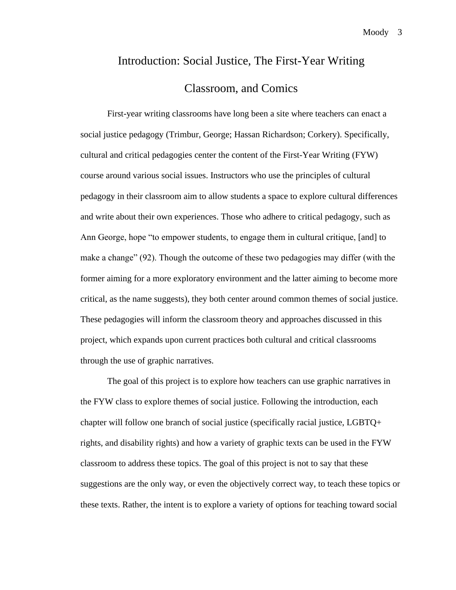# Introduction: Social Justice, The First-Year Writing Classroom, and Comics

First-year writing classrooms have long been a site where teachers can enact a social justice pedagogy (Trimbur, George; Hassan Richardson; Corkery). Specifically, cultural and critical pedagogies center the content of the First-Year Writing (FYW) course around various social issues. Instructors who use the principles of cultural pedagogy in their classroom aim to allow students a space to explore cultural differences and write about their own experiences. Those who adhere to critical pedagogy, such as Ann George, hope "to empower students, to engage them in cultural critique, [and] to make a change" (92). Though the outcome of these two pedagogies may differ (with the former aiming for a more exploratory environment and the latter aiming to become more critical, as the name suggests), they both center around common themes of social justice. These pedagogies will inform the classroom theory and approaches discussed in this project, which expands upon current practices both cultural and critical classrooms through the use of graphic narratives.

The goal of this project is to explore how teachers can use graphic narratives in the FYW class to explore themes of social justice. Following the introduction, each chapter will follow one branch of social justice (specifically racial justice, LGBTQ+ rights, and disability rights) and how a variety of graphic texts can be used in the FYW classroom to address these topics. The goal of this project is not to say that these suggestions are the only way, or even the objectively correct way, to teach these topics or these texts. Rather, the intent is to explore a variety of options for teaching toward social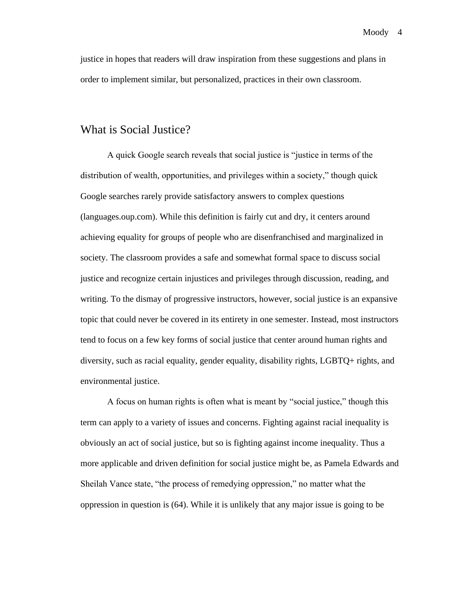justice in hopes that readers will draw inspiration from these suggestions and plans in order to implement similar, but personalized, practices in their own classroom.

#### What is Social Justice?

A quick Google search reveals that social justice is "justice in terms of the distribution of wealth, opportunities, and privileges within a society," though quick Google searches rarely provide satisfactory answers to complex questions (languages.oup.com). While this definition is fairly cut and dry, it centers around achieving equality for groups of people who are disenfranchised and marginalized in society. The classroom provides a safe and somewhat formal space to discuss social justice and recognize certain injustices and privileges through discussion, reading, and writing. To the dismay of progressive instructors, however, social justice is an expansive topic that could never be covered in its entirety in one semester. Instead, most instructors tend to focus on a few key forms of social justice that center around human rights and diversity, such as racial equality, gender equality, disability rights, LGBTQ+ rights, and environmental justice.

A focus on human rights is often what is meant by "social justice," though this term can apply to a variety of issues and concerns. Fighting against racial inequality is obviously an act of social justice, but so is fighting against income inequality. Thus a more applicable and driven definition for social justice might be, as Pamela Edwards and Sheilah Vance state, "the process of remedying oppression," no matter what the oppression in question is (64). While it is unlikely that any major issue is going to be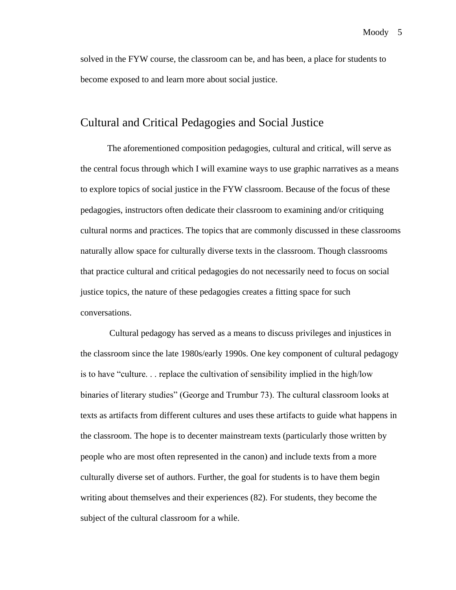solved in the FYW course, the classroom can be, and has been, a place for students to become exposed to and learn more about social justice.

#### Cultural and Critical Pedagogies and Social Justice

The aforementioned composition pedagogies, cultural and critical, will serve as the central focus through which I will examine ways to use graphic narratives as a means to explore topics of social justice in the FYW classroom. Because of the focus of these pedagogies, instructors often dedicate their classroom to examining and/or critiquing cultural norms and practices. The topics that are commonly discussed in these classrooms naturally allow space for culturally diverse texts in the classroom. Though classrooms that practice cultural and critical pedagogies do not necessarily need to focus on social justice topics, the nature of these pedagogies creates a fitting space for such conversations.

Cultural pedagogy has served as a means to discuss privileges and injustices in the classroom since the late 1980s/early 1990s. One key component of cultural pedagogy is to have "culture. . . replace the cultivation of sensibility implied in the high/low binaries of literary studies" (George and Trumbur 73). The cultural classroom looks at texts as artifacts from different cultures and uses these artifacts to guide what happens in the classroom. The hope is to decenter mainstream texts (particularly those written by people who are most often represented in the canon) and include texts from a more culturally diverse set of authors. Further, the goal for students is to have them begin writing about themselves and their experiences (82). For students, they become the subject of the cultural classroom for a while.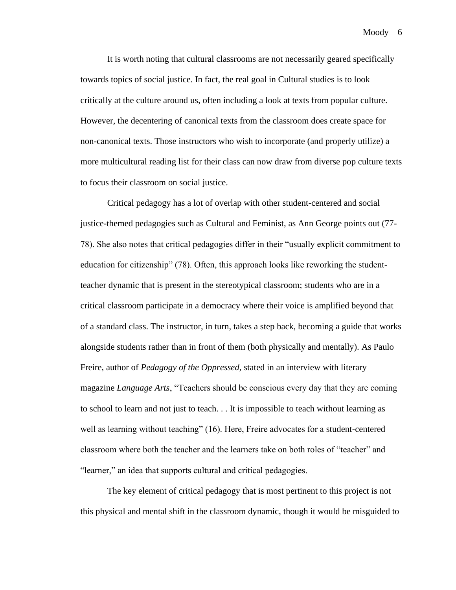It is worth noting that cultural classrooms are not necessarily geared specifically towards topics of social justice. In fact, the real goal in Cultural studies is to look critically at the culture around us, often including a look at texts from popular culture. However, the decentering of canonical texts from the classroom does create space for non-canonical texts. Those instructors who wish to incorporate (and properly utilize) a more multicultural reading list for their class can now draw from diverse pop culture texts to focus their classroom on social justice.

Critical pedagogy has a lot of overlap with other student-centered and social justice-themed pedagogies such as Cultural and Feminist, as Ann George points out (77- 78). She also notes that critical pedagogies differ in their "usually explicit commitment to education for citizenship" (78). Often, this approach looks like reworking the studentteacher dynamic that is present in the stereotypical classroom; students who are in a critical classroom participate in a democracy where their voice is amplified beyond that of a standard class. The instructor, in turn, takes a step back, becoming a guide that works alongside students rather than in front of them (both physically and mentally). As Paulo Freire, author of *Pedagogy of the Oppressed,* stated in an interview with literary magazine *Language Arts*, "Teachers should be conscious every day that they are coming to school to learn and not just to teach. . . It is impossible to teach without learning as well as learning without teaching" (16). Here, Freire advocates for a student-centered classroom where both the teacher and the learners take on both roles of "teacher" and "learner," an idea that supports cultural and critical pedagogies.

The key element of critical pedagogy that is most pertinent to this project is not this physical and mental shift in the classroom dynamic, though it would be misguided to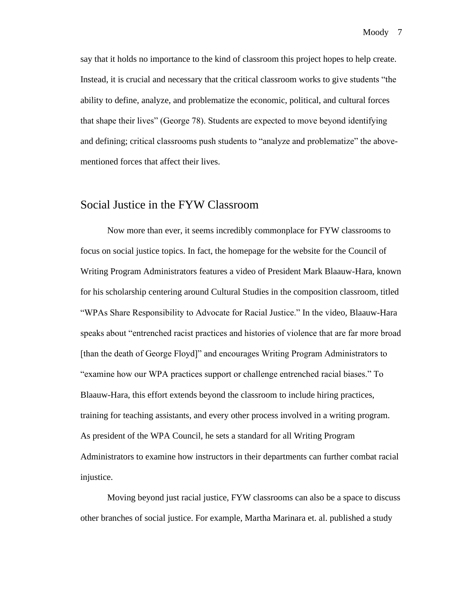say that it holds no importance to the kind of classroom this project hopes to help create. Instead, it is crucial and necessary that the critical classroom works to give students "the ability to define, analyze, and problematize the economic, political, and cultural forces that shape their lives" (George 78). Students are expected to move beyond identifying and defining; critical classrooms push students to "analyze and problematize" the abovementioned forces that affect their lives.

#### Social Justice in the FYW Classroom

Now more than ever, it seems incredibly commonplace for FYW classrooms to focus on social justice topics. In fact, the homepage for the website for the Council of Writing Program Administrators features a video of President Mark Blaauw-Hara, known for his scholarship centering around Cultural Studies in the composition classroom, titled "WPAs Share Responsibility to Advocate for Racial Justice." In the video, Blaauw-Hara speaks about "entrenched racist practices and histories of violence that are far more broad [than the death of George Floyd]" and encourages Writing Program Administrators to "examine how our WPA practices support or challenge entrenched racial biases." To Blaauw-Hara, this effort extends beyond the classroom to include hiring practices, training for teaching assistants, and every other process involved in a writing program. As president of the WPA Council, he sets a standard for all Writing Program Administrators to examine how instructors in their departments can further combat racial injustice.

Moving beyond just racial justice, FYW classrooms can also be a space to discuss other branches of social justice. For example, Martha Marinara et. al. published a study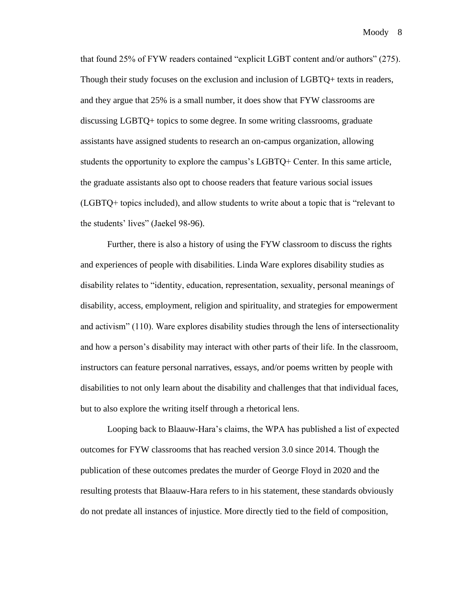that found 25% of FYW readers contained "explicit LGBT content and/or authors" (275). Though their study focuses on the exclusion and inclusion of LGBTQ+ texts in readers, and they argue that 25% is a small number, it does show that FYW classrooms are discussing LGBTQ+ topics to some degree. In some writing classrooms, graduate assistants have assigned students to research an on-campus organization, allowing students the opportunity to explore the campus's LGBTQ+ Center. In this same article, the graduate assistants also opt to choose readers that feature various social issues (LGBTQ+ topics included), and allow students to write about a topic that is "relevant to the students' lives" (Jaekel 98-96).

Further, there is also a history of using the FYW classroom to discuss the rights and experiences of people with disabilities. Linda Ware explores disability studies as disability relates to "identity, education, representation, sexuality, personal meanings of disability, access, employment, religion and spirituality, and strategies for empowerment and activism" (110). Ware explores disability studies through the lens of intersectionality and how a person's disability may interact with other parts of their life. In the classroom, instructors can feature personal narratives, essays, and/or poems written by people with disabilities to not only learn about the disability and challenges that that individual faces, but to also explore the writing itself through a rhetorical lens.

Looping back to Blaauw-Hara's claims, the WPA has published a list of expected outcomes for FYW classrooms that has reached version 3.0 since 2014. Though the publication of these outcomes predates the murder of George Floyd in 2020 and the resulting protests that Blaauw-Hara refers to in his statement, these standards obviously do not predate all instances of injustice. More directly tied to the field of composition,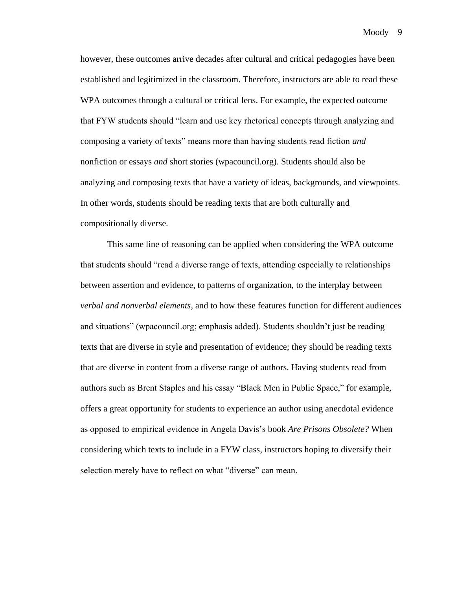however, these outcomes arrive decades after cultural and critical pedagogies have been established and legitimized in the classroom. Therefore, instructors are able to read these WPA outcomes through a cultural or critical lens. For example, the expected outcome that FYW students should "learn and use key rhetorical concepts through analyzing and composing a variety of texts" means more than having students read fiction *and*  nonfiction or essays *and* short stories (wpacouncil.org). Students should also be analyzing and composing texts that have a variety of ideas, backgrounds, and viewpoints. In other words, students should be reading texts that are both culturally and compositionally diverse.

This same line of reasoning can be applied when considering the WPA outcome that students should "read a diverse range of texts, attending especially to relationships between assertion and evidence, to patterns of organization, to the interplay between *verbal and nonverbal elements*, and to how these features function for different audiences and situations" (wpacouncil.org; emphasis added). Students shouldn't just be reading texts that are diverse in style and presentation of evidence; they should be reading texts that are diverse in content from a diverse range of authors. Having students read from authors such as Brent Staples and his essay "Black Men in Public Space," for example, offers a great opportunity for students to experience an author using anecdotal evidence as opposed to empirical evidence in Angela Davis's book *Are Prisons Obsolete?* When considering which texts to include in a FYW class, instructors hoping to diversify their selection merely have to reflect on what "diverse" can mean.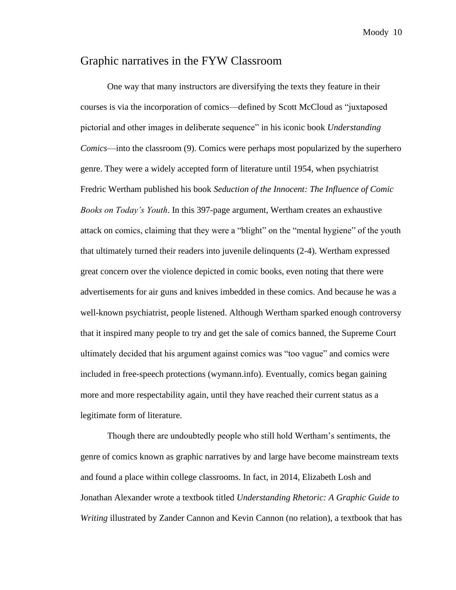## Graphic narratives in the FYW Classroom

One way that many instructors are diversifying the texts they feature in their courses is via the incorporation of comics—defined by Scott McCloud as "juxtaposed pictorial and other images in deliberate sequence" in his iconic book *Understanding Comics*—into the classroom (9). Comics were perhaps most popularized by the superhero genre. They were a widely accepted form of literature until 1954, when psychiatrist Fredric Wertham published his book *Seduction of the Innocent: The Influence of Comic Books on Today's Youth*. In this 397-page argument, Wertham creates an exhaustive attack on comics, claiming that they were a "blight" on the "mental hygiene" of the youth that ultimately turned their readers into juvenile delinquents (2-4). Wertham expressed great concern over the violence depicted in comic books, even noting that there were advertisements for air guns and knives imbedded in these comics. And because he was a well-known psychiatrist, people listened. Although Wertham sparked enough controversy that it inspired many people to try and get the sale of comics banned, the Supreme Court ultimately decided that his argument against comics was "too vague" and comics were included in free-speech protections (wymann.info). Eventually, comics began gaining more and more respectability again, until they have reached their current status as a legitimate form of literature.

Though there are undoubtedly people who still hold Wertham's sentiments, the genre of comics known as graphic narratives by and large have become mainstream texts and found a place within college classrooms. In fact, in 2014, Elizabeth Losh and Jonathan Alexander wrote a textbook titled *Understanding Rhetoric: A Graphic Guide to Writing* illustrated by Zander Cannon and Kevin Cannon (no relation), a textbook that has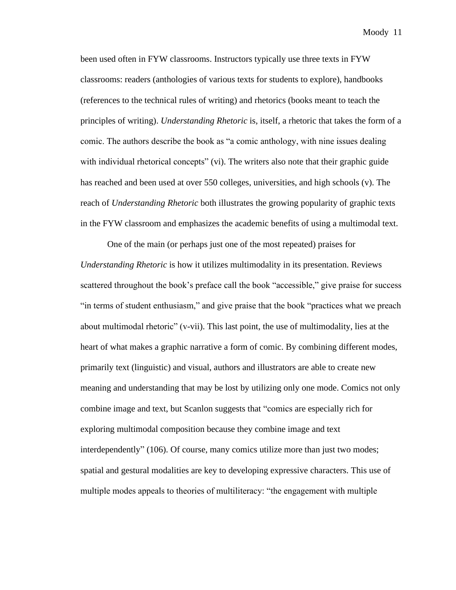been used often in FYW classrooms. Instructors typically use three texts in FYW classrooms: readers (anthologies of various texts for students to explore), handbooks (references to the technical rules of writing) and rhetorics (books meant to teach the principles of writing). *Understanding Rhetoric* is, itself, a rhetoric that takes the form of a comic. The authors describe the book as "a comic anthology, with nine issues dealing with individual rhetorical concepts" (vi). The writers also note that their graphic guide has reached and been used at over 550 colleges, universities, and high schools (v). The reach of *Understanding Rhetoric* both illustrates the growing popularity of graphic texts in the FYW classroom and emphasizes the academic benefits of using a multimodal text.

One of the main (or perhaps just one of the most repeated) praises for *Understanding Rhetoric* is how it utilizes multimodality in its presentation. Reviews scattered throughout the book's preface call the book "accessible," give praise for success "in terms of student enthusiasm," and give praise that the book "practices what we preach about multimodal rhetoric" (v-vii). This last point, the use of multimodality, lies at the heart of what makes a graphic narrative a form of comic. By combining different modes, primarily text (linguistic) and visual, authors and illustrators are able to create new meaning and understanding that may be lost by utilizing only one mode. Comics not only combine image and text, but Scanlon suggests that "comics are especially rich for exploring multimodal composition because they combine image and text interdependently" (106). Of course, many comics utilize more than just two modes; spatial and gestural modalities are key to developing expressive characters. This use of multiple modes appeals to theories of multiliteracy: "the engagement with multiple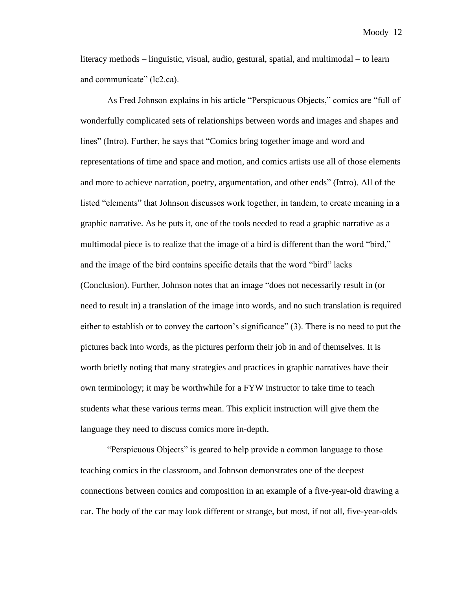literacy methods – linguistic, visual, audio, gestural, spatial, and multimodal – to learn and communicate" (lc2.ca).

As Fred Johnson explains in his article "Perspicuous Objects," comics are "full of wonderfully complicated sets of relationships between words and images and shapes and lines" (Intro). Further, he says that "Comics bring together image and word and representations of time and space and motion, and comics artists use all of those elements and more to achieve narration, poetry, argumentation, and other ends" (Intro). All of the listed "elements" that Johnson discusses work together, in tandem, to create meaning in a graphic narrative. As he puts it, one of the tools needed to read a graphic narrative as a multimodal piece is to realize that the image of a bird is different than the word "bird," and the image of the bird contains specific details that the word "bird" lacks (Conclusion). Further, Johnson notes that an image "does not necessarily result in (or need to result in) a translation of the image into words, and no such translation is required either to establish or to convey the cartoon's significance" (3). There is no need to put the pictures back into words, as the pictures perform their job in and of themselves. It is worth briefly noting that many strategies and practices in graphic narratives have their own terminology; it may be worthwhile for a FYW instructor to take time to teach students what these various terms mean. This explicit instruction will give them the language they need to discuss comics more in-depth.

"Perspicuous Objects" is geared to help provide a common language to those teaching comics in the classroom, and Johnson demonstrates one of the deepest connections between comics and composition in an example of a five-year-old drawing a car. The body of the car may look different or strange, but most, if not all, five-year-olds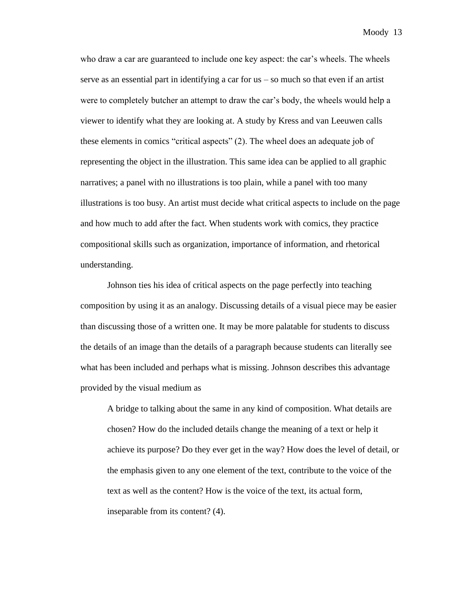who draw a car are guaranteed to include one key aspect: the car's wheels. The wheels serve as an essential part in identifying a car for us – so much so that even if an artist were to completely butcher an attempt to draw the car's body, the wheels would help a viewer to identify what they are looking at. A study by Kress and van Leeuwen calls these elements in comics "critical aspects" (2). The wheel does an adequate job of representing the object in the illustration. This same idea can be applied to all graphic narratives; a panel with no illustrations is too plain, while a panel with too many illustrations is too busy. An artist must decide what critical aspects to include on the page and how much to add after the fact. When students work with comics, they practice compositional skills such as organization, importance of information, and rhetorical understanding.

Johnson ties his idea of critical aspects on the page perfectly into teaching composition by using it as an analogy. Discussing details of a visual piece may be easier than discussing those of a written one. It may be more palatable for students to discuss the details of an image than the details of a paragraph because students can literally see what has been included and perhaps what is missing. Johnson describes this advantage provided by the visual medium as

A bridge to talking about the same in any kind of composition. What details are chosen? How do the included details change the meaning of a text or help it achieve its purpose? Do they ever get in the way? How does the level of detail, or the emphasis given to any one element of the text, contribute to the voice of the text as well as the content? How is the voice of the text, its actual form, inseparable from its content? (4).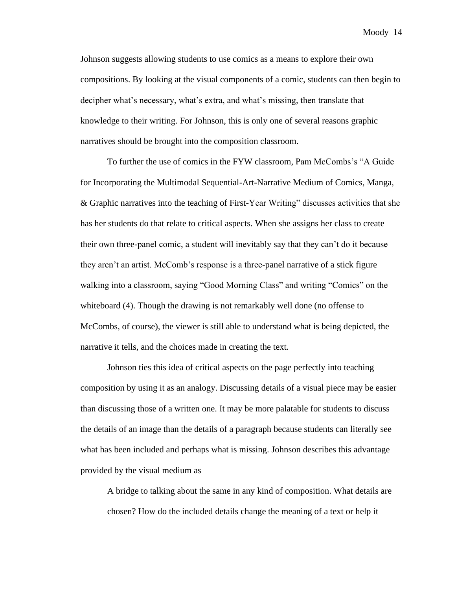Johnson suggests allowing students to use comics as a means to explore their own compositions. By looking at the visual components of a comic, students can then begin to decipher what's necessary, what's extra, and what's missing, then translate that knowledge to their writing. For Johnson, this is only one of several reasons graphic narratives should be brought into the composition classroom.

To further the use of comics in the FYW classroom, Pam McCombs's "A Guide for Incorporating the Multimodal Sequential-Art-Narrative Medium of Comics, Manga, & Graphic narratives into the teaching of First-Year Writing" discusses activities that she has her students do that relate to critical aspects. When she assigns her class to create their own three-panel comic, a student will inevitably say that they can't do it because they aren't an artist. McComb's response is a three-panel narrative of a stick figure walking into a classroom, saying "Good Morning Class" and writing "Comics" on the whiteboard (4). Though the drawing is not remarkably well done (no offense to McCombs, of course), the viewer is still able to understand what is being depicted, the narrative it tells, and the choices made in creating the text.

Johnson ties this idea of critical aspects on the page perfectly into teaching composition by using it as an analogy. Discussing details of a visual piece may be easier than discussing those of a written one. It may be more palatable for students to discuss the details of an image than the details of a paragraph because students can literally see what has been included and perhaps what is missing. Johnson describes this advantage provided by the visual medium as

A bridge to talking about the same in any kind of composition. What details are chosen? How do the included details change the meaning of a text or help it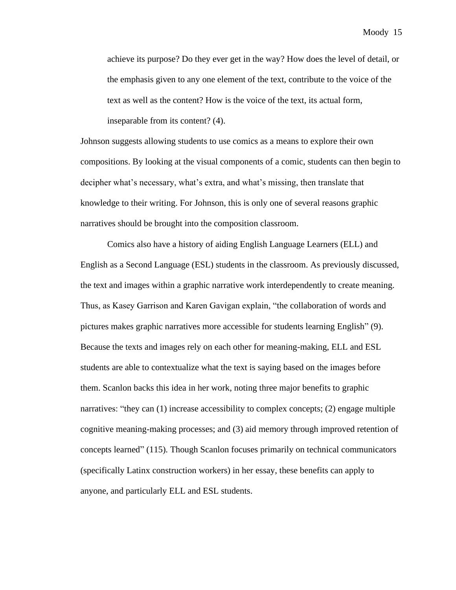achieve its purpose? Do they ever get in the way? How does the level of detail, or the emphasis given to any one element of the text, contribute to the voice of the text as well as the content? How is the voice of the text, its actual form, inseparable from its content? (4).

Johnson suggests allowing students to use comics as a means to explore their own compositions. By looking at the visual components of a comic, students can then begin to decipher what's necessary, what's extra, and what's missing, then translate that knowledge to their writing. For Johnson, this is only one of several reasons graphic narratives should be brought into the composition classroom.

Comics also have a history of aiding English Language Learners (ELL) and English as a Second Language (ESL) students in the classroom. As previously discussed, the text and images within a graphic narrative work interdependently to create meaning. Thus, as Kasey Garrison and Karen Gavigan explain, "the collaboration of words and pictures makes graphic narratives more accessible for students learning English" (9). Because the texts and images rely on each other for meaning-making, ELL and ESL students are able to contextualize what the text is saying based on the images before them. Scanlon backs this idea in her work, noting three major benefits to graphic narratives: "they can (1) increase accessibility to complex concepts; (2) engage multiple cognitive meaning-making processes; and (3) aid memory through improved retention of concepts learned" (115). Though Scanlon focuses primarily on technical communicators (specifically Latinx construction workers) in her essay, these benefits can apply to anyone, and particularly ELL and ESL students.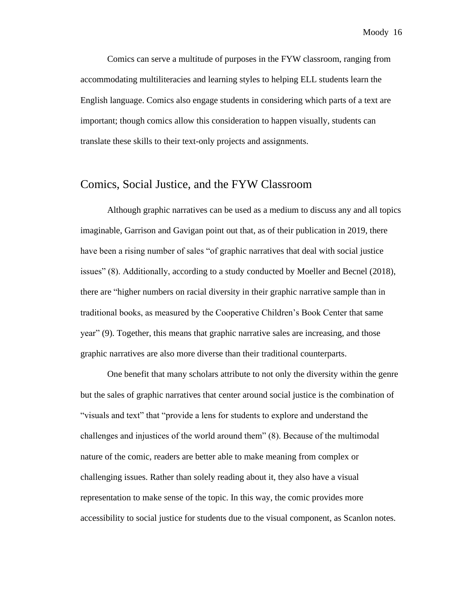Comics can serve a multitude of purposes in the FYW classroom, ranging from accommodating multiliteracies and learning styles to helping ELL students learn the English language. Comics also engage students in considering which parts of a text are important; though comics allow this consideration to happen visually, students can translate these skills to their text-only projects and assignments.

#### Comics, Social Justice, and the FYW Classroom

Although graphic narratives can be used as a medium to discuss any and all topics imaginable, Garrison and Gavigan point out that, as of their publication in 2019, there have been a rising number of sales "of graphic narratives that deal with social justice issues" (8). Additionally, according to a study conducted by Moeller and Becnel (2018), there are "higher numbers on racial diversity in their graphic narrative sample than in traditional books, as measured by the Cooperative Children's Book Center that same year" (9). Together, this means that graphic narrative sales are increasing, and those graphic narratives are also more diverse than their traditional counterparts.

One benefit that many scholars attribute to not only the diversity within the genre but the sales of graphic narratives that center around social justice is the combination of "visuals and text" that "provide a lens for students to explore and understand the challenges and injustices of the world around them" (8). Because of the multimodal nature of the comic, readers are better able to make meaning from complex or challenging issues. Rather than solely reading about it, they also have a visual representation to make sense of the topic. In this way, the comic provides more accessibility to social justice for students due to the visual component, as Scanlon notes.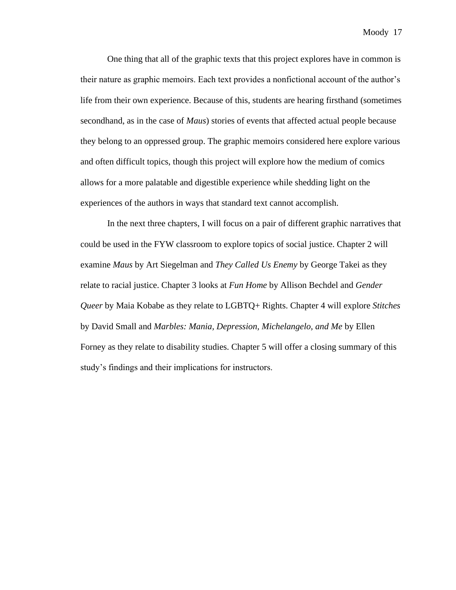One thing that all of the graphic texts that this project explores have in common is their nature as graphic memoirs. Each text provides a nonfictional account of the author's life from their own experience. Because of this, students are hearing firsthand (sometimes secondhand, as in the case of *Maus*) stories of events that affected actual people because they belong to an oppressed group. The graphic memoirs considered here explore various and often difficult topics, though this project will explore how the medium of comics allows for a more palatable and digestible experience while shedding light on the experiences of the authors in ways that standard text cannot accomplish.

In the next three chapters, I will focus on a pair of different graphic narratives that could be used in the FYW classroom to explore topics of social justice. Chapter 2 will examine *Maus* by Art Siegelman and *They Called Us Enemy* by George Takei as they relate to racial justice. Chapter 3 looks at *Fun Home* by Allison Bechdel and *Gender Queer* by Maia Kobabe as they relate to LGBTQ+ Rights. Chapter 4 will explore *Stitches*  by David Small and *Marbles: Mania, Depression, Michelangelo, and Me* by Ellen Forney as they relate to disability studies. Chapter 5 will offer a closing summary of this study's findings and their implications for instructors.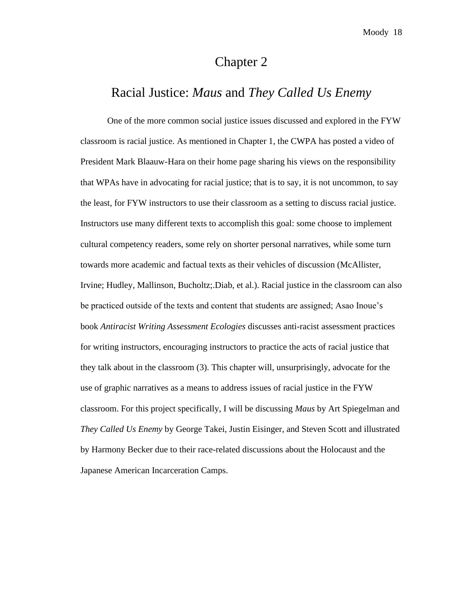## Chapter 2

### Racial Justice: *Maus* and *They Called Us Enemy*

One of the more common social justice issues discussed and explored in the FYW classroom is racial justice. As mentioned in Chapter 1, the CWPA has posted a video of President Mark Blaauw-Hara on their home page sharing his views on the responsibility that WPAs have in advocating for racial justice; that is to say, it is not uncommon, to say the least, for FYW instructors to use their classroom as a setting to discuss racial justice. Instructors use many different texts to accomplish this goal: some choose to implement cultural competency readers, some rely on shorter personal narratives, while some turn towards more academic and factual texts as their vehicles of discussion (McAllister, Irvine; Hudley, Mallinson, Bucholtz;.Diab, et al.). Racial justice in the classroom can also be practiced outside of the texts and content that students are assigned; Asao Inoue's book *Antiracist Writing Assessment Ecologies* discusses anti-racist assessment practices for writing instructors, encouraging instructors to practice the acts of racial justice that they talk about in the classroom (3). This chapter will, unsurprisingly, advocate for the use of graphic narratives as a means to address issues of racial justice in the FYW classroom. For this project specifically, I will be discussing *Maus* by Art Spiegelman and *They Called Us Enemy* by George Takei, Justin Eisinger, and Steven Scott and illustrated by Harmony Becker due to their race-related discussions about the Holocaust and the Japanese American Incarceration Camps.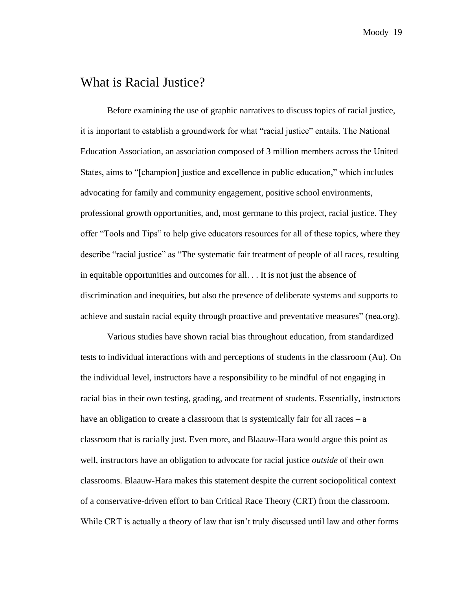## What is Racial Justice?

Before examining the use of graphic narratives to discuss topics of racial justice, it is important to establish a groundwork for what "racial justice" entails. The National Education Association, an association composed of 3 million members across the United States, aims to "[champion] justice and excellence in public education," which includes advocating for family and community engagement, positive school environments, professional growth opportunities, and, most germane to this project, racial justice. They offer "Tools and Tips" to help give educators resources for all of these topics, where they describe "racial justice" as "The systematic fair treatment of people of all races, resulting in equitable opportunities and outcomes for all. . . It is not just the absence of discrimination and inequities, but also the presence of deliberate systems and supports to achieve and sustain racial equity through proactive and preventative measures" (nea.org).

Various studies have shown racial bias throughout education, from standardized tests to individual interactions with and perceptions of students in the classroom (Au). On the individual level, instructors have a responsibility to be mindful of not engaging in racial bias in their own testing, grading, and treatment of students. Essentially, instructors have an obligation to create a classroom that is systemically fair for all races – a classroom that is racially just. Even more, and Blaauw-Hara would argue this point as well, instructors have an obligation to advocate for racial justice *outside* of their own classrooms. Blaauw-Hara makes this statement despite the current sociopolitical context of a conservative-driven effort to ban Critical Race Theory (CRT) from the classroom. While CRT is actually a theory of law that isn't truly discussed until law and other forms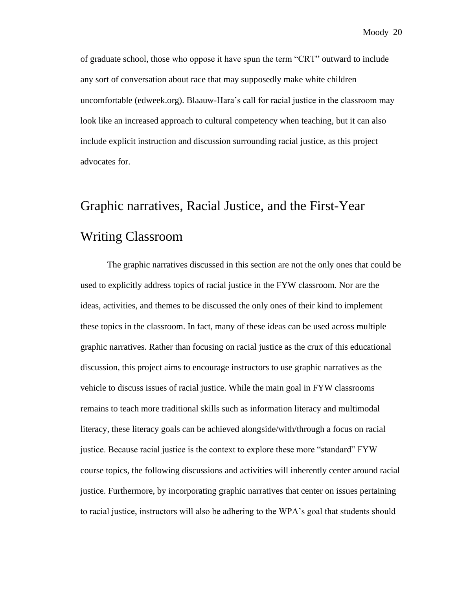of graduate school, those who oppose it have spun the term "CRT" outward to include any sort of conversation about race that may supposedly make white children uncomfortable (edweek.org). Blaauw-Hara's call for racial justice in the classroom may look like an increased approach to cultural competency when teaching, but it can also include explicit instruction and discussion surrounding racial justice, as this project advocates for.

# Graphic narratives, Racial Justice, and the First-Year Writing Classroom

The graphic narratives discussed in this section are not the only ones that could be used to explicitly address topics of racial justice in the FYW classroom. Nor are the ideas, activities, and themes to be discussed the only ones of their kind to implement these topics in the classroom. In fact, many of these ideas can be used across multiple graphic narratives. Rather than focusing on racial justice as the crux of this educational discussion, this project aims to encourage instructors to use graphic narratives as the vehicle to discuss issues of racial justice. While the main goal in FYW classrooms remains to teach more traditional skills such as information literacy and multimodal literacy, these literacy goals can be achieved alongside/with/through a focus on racial justice. Because racial justice is the context to explore these more "standard" FYW course topics, the following discussions and activities will inherently center around racial justice. Furthermore, by incorporating graphic narratives that center on issues pertaining to racial justice, instructors will also be adhering to the WPA's goal that students should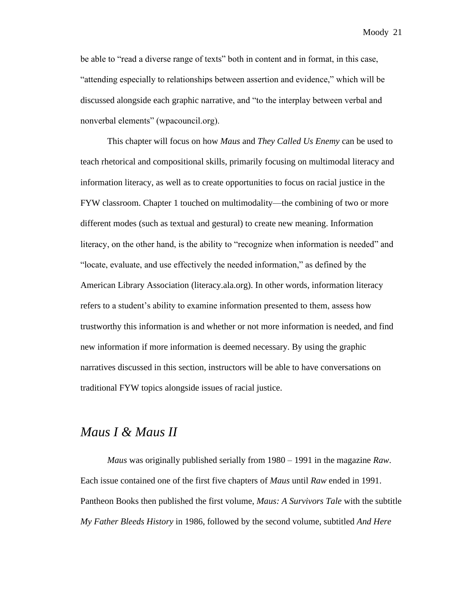be able to "read a diverse range of texts" both in content and in format, in this case, "attending especially to relationships between assertion and evidence," which will be discussed alongside each graphic narrative, and "to the interplay between verbal and nonverbal elements" (wpacouncil.org).

This chapter will focus on how *Maus* and *They Called Us Enemy* can be used to teach rhetorical and compositional skills, primarily focusing on multimodal literacy and information literacy, as well as to create opportunities to focus on racial justice in the FYW classroom. Chapter 1 touched on multimodality—the combining of two or more different modes (such as textual and gestural) to create new meaning. Information literacy, on the other hand, is the ability to "recognize when information is needed" and "locate, evaluate, and use effectively the needed information," as defined by the American Library Association (literacy.ala.org). In other words, information literacy refers to a student's ability to examine information presented to them, assess how trustworthy this information is and whether or not more information is needed, and find new information if more information is deemed necessary. By using the graphic narratives discussed in this section, instructors will be able to have conversations on traditional FYW topics alongside issues of racial justice.

## *Maus I & Maus II*

*Maus* was originally published serially from 1980 – 1991 in the magazine *Raw*. Each issue contained one of the first five chapters of *Maus* until *Raw* ended in 1991. Pantheon Books then published the first volume, *Maus: A Survivors Tale* with the subtitle *My Father Bleeds History* in 1986, followed by the second volume, subtitled *And Here*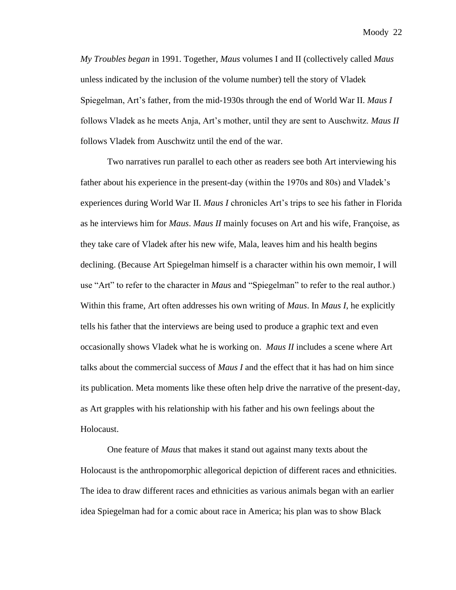*My Troubles began* in 1991. Together, *Maus* volumes I and II (collectively called *Maus* unless indicated by the inclusion of the volume number) tell the story of Vladek Spiegelman, Art's father, from the mid-1930s through the end of World War II. *Maus I* follows Vladek as he meets Anja, Art's mother, until they are sent to Auschwitz. *Maus II*  follows Vladek from Auschwitz until the end of the war.

Two narratives run parallel to each other as readers see both Art interviewing his father about his experience in the present-day (within the 1970s and 80s) and Vladek's experiences during World War II. *Maus I* chronicles Art's trips to see his father in Florida as he interviews him for *Maus*. *Maus II* mainly focuses on Art and his wife, Françoise, as they take care of Vladek after his new wife, Mala, leaves him and his health begins declining. (Because Art Spiegelman himself is a character within his own memoir, I will use "Art" to refer to the character in *Maus* and "Spiegelman" to refer to the real author.) Within this frame, Art often addresses his own writing of *Maus*. In *Maus I*, he explicitly tells his father that the interviews are being used to produce a graphic text and even occasionally shows Vladek what he is working on. *Maus II* includes a scene where Art talks about the commercial success of *Maus I* and the effect that it has had on him since its publication. Meta moments like these often help drive the narrative of the present-day, as Art grapples with his relationship with his father and his own feelings about the Holocaust.

One feature of *Maus* that makes it stand out against many texts about the Holocaust is the anthropomorphic allegorical depiction of different races and ethnicities. The idea to draw different races and ethnicities as various animals began with an earlier idea Spiegelman had for a comic about race in America; his plan was to show Black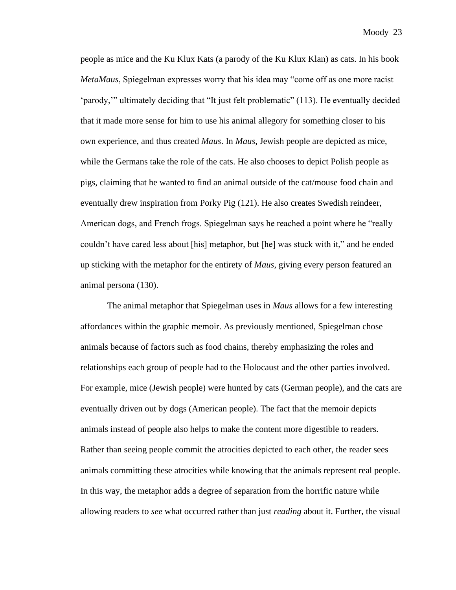people as mice and the Ku Klux Kats (a parody of the Ku Klux Klan) as cats. In his book *MetaMaus*, Spiegelman expresses worry that his idea may "come off as one more racist 'parody,'" ultimately deciding that "It just felt problematic" (113). He eventually decided that it made more sense for him to use his animal allegory for something closer to his own experience, and thus created *Maus*. In *Maus*, Jewish people are depicted as mice, while the Germans take the role of the cats. He also chooses to depict Polish people as pigs, claiming that he wanted to find an animal outside of the cat/mouse food chain and eventually drew inspiration from Porky Pig (121). He also creates Swedish reindeer, American dogs, and French frogs. Spiegelman says he reached a point where he "really couldn't have cared less about [his] metaphor, but [he] was stuck with it," and he ended up sticking with the metaphor for the entirety of *Maus*, giving every person featured an animal persona (130).

The animal metaphor that Spiegelman uses in *Maus* allows for a few interesting affordances within the graphic memoir. As previously mentioned, Spiegelman chose animals because of factors such as food chains, thereby emphasizing the roles and relationships each group of people had to the Holocaust and the other parties involved. For example, mice (Jewish people) were hunted by cats (German people), and the cats are eventually driven out by dogs (American people). The fact that the memoir depicts animals instead of people also helps to make the content more digestible to readers. Rather than seeing people commit the atrocities depicted to each other, the reader sees animals committing these atrocities while knowing that the animals represent real people. In this way, the metaphor adds a degree of separation from the horrific nature while allowing readers to *see* what occurred rather than just *reading* about it. Further, the visual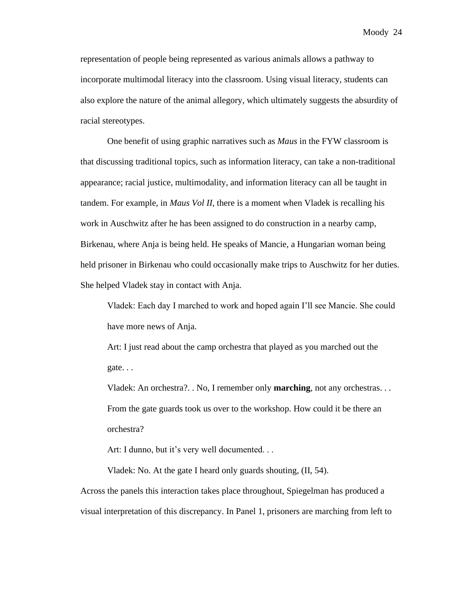representation of people being represented as various animals allows a pathway to incorporate multimodal literacy into the classroom. Using visual literacy, students can also explore the nature of the animal allegory, which ultimately suggests the absurdity of racial stereotypes.

One benefit of using graphic narratives such as *Maus* in the FYW classroom is that discussing traditional topics, such as information literacy, can take a non-traditional appearance; racial justice, multimodality, and information literacy can all be taught in tandem. For example, in *Maus Vol II*, there is a moment when Vladek is recalling his work in Auschwitz after he has been assigned to do construction in a nearby camp, Birkenau, where Anja is being held. He speaks of Mancie, a Hungarian woman being held prisoner in Birkenau who could occasionally make trips to Auschwitz for her duties. She helped Vladek stay in contact with Anja.

Vladek: Each day I marched to work and hoped again I'll see Mancie. She could have more news of Anja.

Art: I just read about the camp orchestra that played as you marched out the gate. . .

Vladek: An orchestra?. . No, I remember only **marching**, not any orchestras. . . From the gate guards took us over to the workshop. How could it be there an orchestra?

Art: I dunno, but it's very well documented. . .

Vladek: No. At the gate I heard only guards shouting, (II, 54).

Across the panels this interaction takes place throughout, Spiegelman has produced a visual interpretation of this discrepancy. In Panel 1, prisoners are marching from left to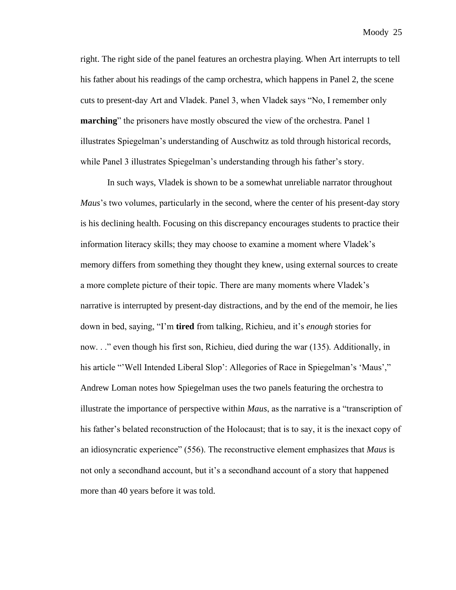right. The right side of the panel features an orchestra playing. When Art interrupts to tell his father about his readings of the camp orchestra, which happens in Panel 2, the scene cuts to present-day Art and Vladek. Panel 3, when Vladek says "No, I remember only **marching**" the prisoners have mostly obscured the view of the orchestra. Panel 1 illustrates Spiegelman's understanding of Auschwitz as told through historical records, while Panel 3 illustrates Spiegelman's understanding through his father's story.

In such ways, Vladek is shown to be a somewhat unreliable narrator throughout *Maus*'s two volumes, particularly in the second, where the center of his present-day story is his declining health. Focusing on this discrepancy encourages students to practice their information literacy skills; they may choose to examine a moment where Vladek's memory differs from something they thought they knew, using external sources to create a more complete picture of their topic. There are many moments where Vladek's narrative is interrupted by present-day distractions, and by the end of the memoir, he lies down in bed, saying, "I'm **tired** from talking, Richieu, and it's *enough* stories for now. . ." even though his first son, Richieu, died during the war (135). Additionally, in his article "'Well Intended Liberal Slop': Allegories of Race in Spiegelman's 'Maus'," Andrew Loman notes how Spiegelman uses the two panels featuring the orchestra to illustrate the importance of perspective within *Maus*, as the narrative is a "transcription of his father's belated reconstruction of the Holocaust; that is to say, it is the inexact copy of an idiosyncratic experience" (556). The reconstructive element emphasizes that *Maus* is not only a secondhand account, but it's a secondhand account of a story that happened more than 40 years before it was told.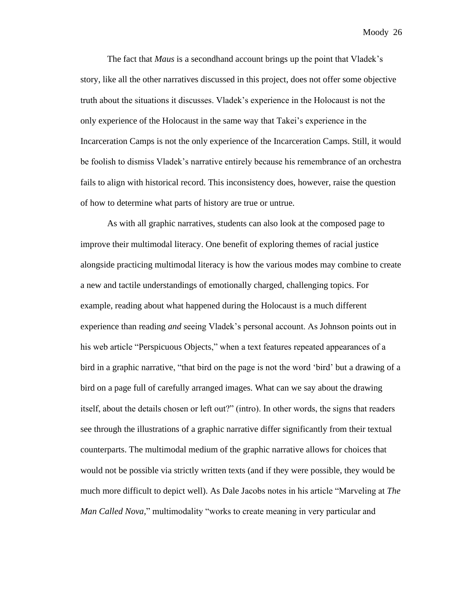The fact that *Maus* is a secondhand account brings up the point that Vladek's story, like all the other narratives discussed in this project, does not offer some objective truth about the situations it discusses. Vladek's experience in the Holocaust is not the only experience of the Holocaust in the same way that Takei's experience in the Incarceration Camps is not the only experience of the Incarceration Camps. Still, it would be foolish to dismiss Vladek's narrative entirely because his remembrance of an orchestra fails to align with historical record. This inconsistency does, however, raise the question of how to determine what parts of history are true or untrue.

As with all graphic narratives, students can also look at the composed page to improve their multimodal literacy. One benefit of exploring themes of racial justice alongside practicing multimodal literacy is how the various modes may combine to create a new and tactile understandings of emotionally charged, challenging topics. For example, reading about what happened during the Holocaust is a much different experience than reading *and* seeing Vladek's personal account. As Johnson points out in his web article "Perspicuous Objects," when a text features repeated appearances of a bird in a graphic narrative, "that bird on the page is not the word 'bird' but a drawing of a bird on a page full of carefully arranged images. What can we say about the drawing itself, about the details chosen or left out?" (intro). In other words, the signs that readers see through the illustrations of a graphic narrative differ significantly from their textual counterparts. The multimodal medium of the graphic narrative allows for choices that would not be possible via strictly written texts (and if they were possible, they would be much more difficult to depict well). As Dale Jacobs notes in his article "Marveling at *The Man Called Nova,*" multimodality "works to create meaning in very particular and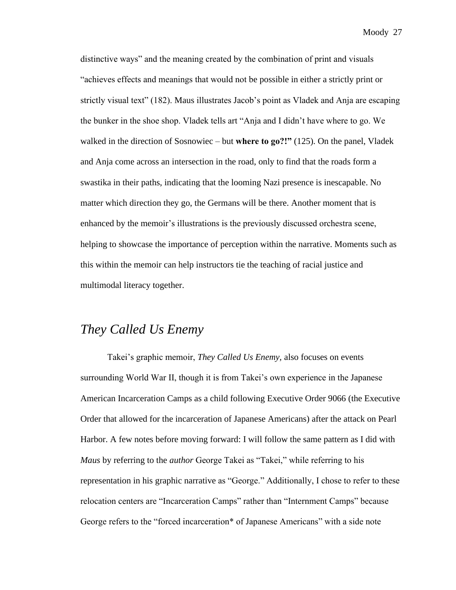distinctive ways" and the meaning created by the combination of print and visuals "achieves effects and meanings that would not be possible in either a strictly print or strictly visual text" (182). Maus illustrates Jacob's point as Vladek and Anja are escaping the bunker in the shoe shop. Vladek tells art "Anja and I didn't have where to go. We walked in the direction of Sosnowiec – but **where to go?!"** (125). On the panel, Vladek and Anja come across an intersection in the road, only to find that the roads form a swastika in their paths, indicating that the looming Nazi presence is inescapable. No matter which direction they go, the Germans will be there. Another moment that is enhanced by the memoir's illustrations is the previously discussed orchestra scene, helping to showcase the importance of perception within the narrative. Moments such as this within the memoir can help instructors tie the teaching of racial justice and multimodal literacy together.

## *They Called Us Enemy*

Takei's graphic memoir, *They Called Us Enemy,* also focuses on events surrounding World War II, though it is from Takei's own experience in the Japanese American Incarceration Camps as a child following Executive Order 9066 (the Executive Order that allowed for the incarceration of Japanese Americans) after the attack on Pearl Harbor. A few notes before moving forward: I will follow the same pattern as I did with *Maus* by referring to the *author* George Takei as "Takei," while referring to his representation in his graphic narrative as "George." Additionally, I chose to refer to these relocation centers are "Incarceration Camps" rather than "Internment Camps" because George refers to the "forced incarceration\* of Japanese Americans" with a side note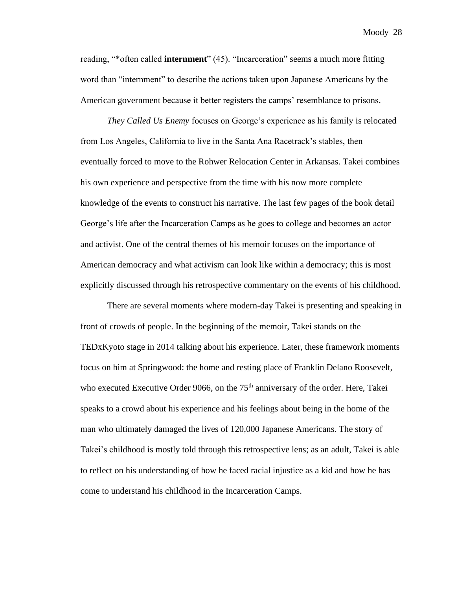reading, "\*often called **internment**" (45). "Incarceration" seems a much more fitting word than "internment" to describe the actions taken upon Japanese Americans by the American government because it better registers the camps' resemblance to prisons.

*They Called Us Enemy* focuses on George's experience as his family is relocated from Los Angeles, California to live in the Santa Ana Racetrack's stables, then eventually forced to move to the Rohwer Relocation Center in Arkansas. Takei combines his own experience and perspective from the time with his now more complete knowledge of the events to construct his narrative. The last few pages of the book detail George's life after the Incarceration Camps as he goes to college and becomes an actor and activist. One of the central themes of his memoir focuses on the importance of American democracy and what activism can look like within a democracy; this is most explicitly discussed through his retrospective commentary on the events of his childhood.

There are several moments where modern-day Takei is presenting and speaking in front of crowds of people. In the beginning of the memoir, Takei stands on the TEDxKyoto stage in 2014 talking about his experience. Later, these framework moments focus on him at Springwood: the home and resting place of Franklin Delano Roosevelt, who executed Executive Order 9066, on the  $75<sup>th</sup>$  anniversary of the order. Here, Takei speaks to a crowd about his experience and his feelings about being in the home of the man who ultimately damaged the lives of 120,000 Japanese Americans. The story of Takei's childhood is mostly told through this retrospective lens; as an adult, Takei is able to reflect on his understanding of how he faced racial injustice as a kid and how he has come to understand his childhood in the Incarceration Camps.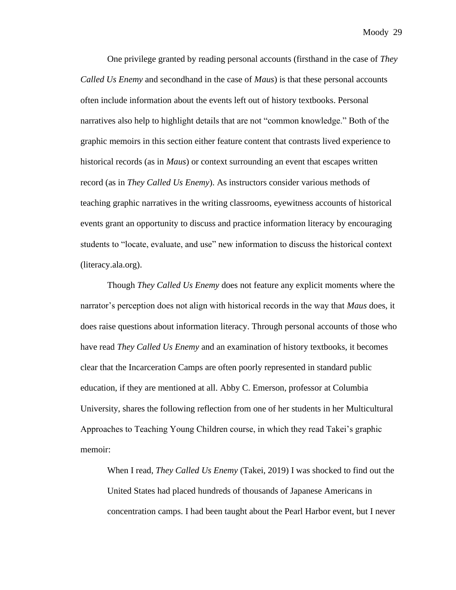One privilege granted by reading personal accounts (firsthand in the case of *They Called Us Enemy* and secondhand in the case of *Maus*) is that these personal accounts often include information about the events left out of history textbooks. Personal narratives also help to highlight details that are not "common knowledge." Both of the graphic memoirs in this section either feature content that contrasts lived experience to historical records (as in *Maus*) or context surrounding an event that escapes written record (as in *They Called Us Enemy*). As instructors consider various methods of teaching graphic narratives in the writing classrooms, eyewitness accounts of historical events grant an opportunity to discuss and practice information literacy by encouraging students to "locate, evaluate, and use" new information to discuss the historical context (literacy.ala.org).

Though *They Called Us Enemy* does not feature any explicit moments where the narrator's perception does not align with historical records in the way that *Maus* does, it does raise questions about information literacy. Through personal accounts of those who have read *They Called Us Enemy* and an examination of history textbooks, it becomes clear that the Incarceration Camps are often poorly represented in standard public education, if they are mentioned at all. Abby C. Emerson, professor at Columbia University, shares the following reflection from one of her students in her Multicultural Approaches to Teaching Young Children course, in which they read Takei's graphic memoir:

When I read, *They Called Us Enemy* (Takei, 2019) I was shocked to find out the United States had placed hundreds of thousands of Japanese Americans in concentration camps. I had been taught about the Pearl Harbor event, but I never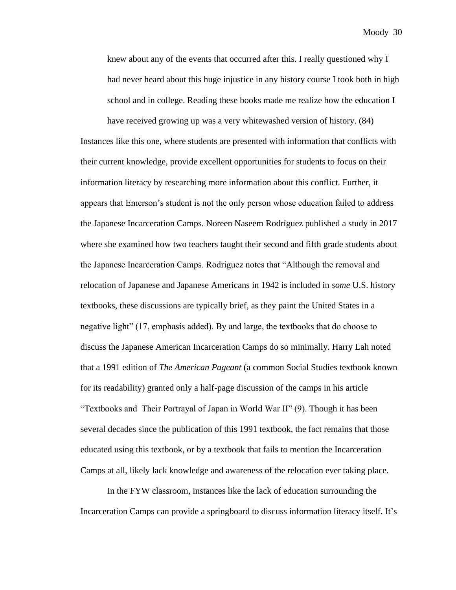knew about any of the events that occurred after this. I really questioned why I had never heard about this huge injustice in any history course I took both in high school and in college. Reading these books made me realize how the education I

have received growing up was a very whitewashed version of history. (84) Instances like this one, where students are presented with information that conflicts with their current knowledge, provide excellent opportunities for students to focus on their information literacy by researching more information about this conflict. Further, it appears that Emerson's student is not the only person whose education failed to address the Japanese Incarceration Camps. Noreen Naseem Rodríguez published a study in 2017 where she examined how two teachers taught their second and fifth grade students about the Japanese Incarceration Camps. Rodriguez notes that "Although the removal and relocation of Japanese and Japanese Americans in 1942 is included in *some* U.S. history textbooks, these discussions are typically brief, as they paint the United States in a negative light" (17, emphasis added). By and large, the textbooks that do choose to discuss the Japanese American Incarceration Camps do so minimally. Harry Lah noted that a 1991 edition of *The American Pageant* (a common Social Studies textbook known for its readability) granted only a half-page discussion of the camps in his article "Textbooks and Their Portrayal of Japan in World War II" (9). Though it has been several decades since the publication of this 1991 textbook, the fact remains that those educated using this textbook, or by a textbook that fails to mention the Incarceration Camps at all, likely lack knowledge and awareness of the relocation ever taking place.

In the FYW classroom, instances like the lack of education surrounding the Incarceration Camps can provide a springboard to discuss information literacy itself. It's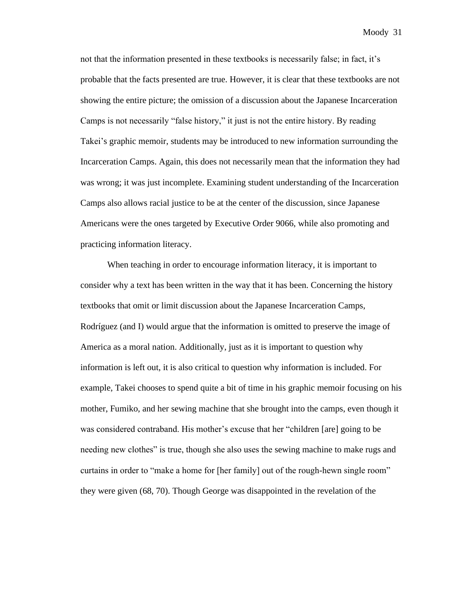not that the information presented in these textbooks is necessarily false; in fact, it's probable that the facts presented are true. However, it is clear that these textbooks are not showing the entire picture; the omission of a discussion about the Japanese Incarceration Camps is not necessarily "false history," it just is not the entire history. By reading Takei's graphic memoir, students may be introduced to new information surrounding the Incarceration Camps. Again, this does not necessarily mean that the information they had was wrong; it was just incomplete. Examining student understanding of the Incarceration Camps also allows racial justice to be at the center of the discussion, since Japanese Americans were the ones targeted by Executive Order 9066, while also promoting and practicing information literacy.

When teaching in order to encourage information literacy, it is important to consider why a text has been written in the way that it has been. Concerning the history textbooks that omit or limit discussion about the Japanese Incarceration Camps, Rodríguez (and I) would argue that the information is omitted to preserve the image of America as a moral nation. Additionally, just as it is important to question why information is left out, it is also critical to question why information is included. For example, Takei chooses to spend quite a bit of time in his graphic memoir focusing on his mother, Fumiko, and her sewing machine that she brought into the camps, even though it was considered contraband. His mother's excuse that her "children [are] going to be needing new clothes" is true, though she also uses the sewing machine to make rugs and curtains in order to "make a home for [her family] out of the rough-hewn single room" they were given (68, 70). Though George was disappointed in the revelation of the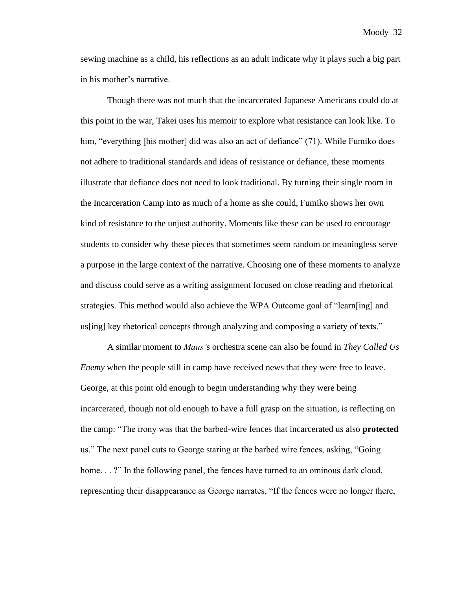sewing machine as a child, his reflections as an adult indicate why it plays such a big part in his mother's narrative.

Though there was not much that the incarcerated Japanese Americans could do at this point in the war, Takei uses his memoir to explore what resistance can look like. To him, "everything [his mother] did was also an act of defiance" (71). While Fumiko does not adhere to traditional standards and ideas of resistance or defiance, these moments illustrate that defiance does not need to look traditional. By turning their single room in the Incarceration Camp into as much of a home as she could, Fumiko shows her own kind of resistance to the unjust authority. Moments like these can be used to encourage students to consider why these pieces that sometimes seem random or meaningless serve a purpose in the large context of the narrative. Choosing one of these moments to analyze and discuss could serve as a writing assignment focused on close reading and rhetorical strategies. This method would also achieve the WPA Outcome goal of "learn[ing] and us[ing] key rhetorical concepts through analyzing and composing a variety of texts."

A similar moment to *Maus'*s orchestra scene can also be found in *They Called Us Enemy* when the people still in camp have received news that they were free to leave. George, at this point old enough to begin understanding why they were being incarcerated, though not old enough to have a full grasp on the situation, is reflecting on the camp: "The irony was that the barbed-wire fences that incarcerated us also **protected**  us." The next panel cuts to George staring at the barbed wire fences, asking, "Going home. . . ?" In the following panel, the fences have turned to an ominous dark cloud, representing their disappearance as George narrates, "If the fences were no longer there,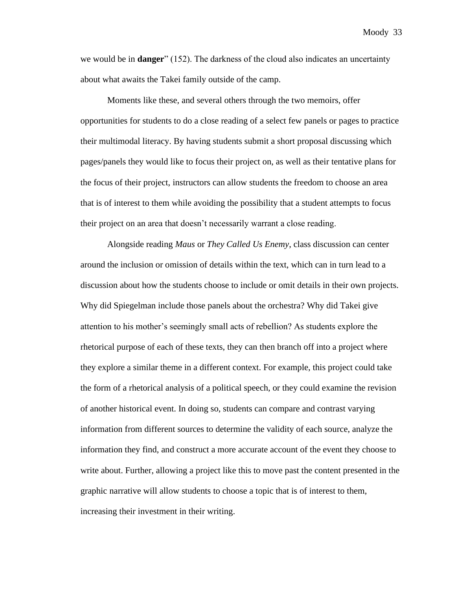we would be in **danger**" (152). The darkness of the cloud also indicates an uncertainty about what awaits the Takei family outside of the camp.

Moments like these, and several others through the two memoirs, offer opportunities for students to do a close reading of a select few panels or pages to practice their multimodal literacy. By having students submit a short proposal discussing which pages/panels they would like to focus their project on, as well as their tentative plans for the focus of their project, instructors can allow students the freedom to choose an area that is of interest to them while avoiding the possibility that a student attempts to focus their project on an area that doesn't necessarily warrant a close reading.

Alongside reading *Maus* or *They Called Us Enemy*, class discussion can center around the inclusion or omission of details within the text, which can in turn lead to a discussion about how the students choose to include or omit details in their own projects. Why did Spiegelman include those panels about the orchestra? Why did Takei give attention to his mother's seemingly small acts of rebellion? As students explore the rhetorical purpose of each of these texts, they can then branch off into a project where they explore a similar theme in a different context. For example, this project could take the form of a rhetorical analysis of a political speech, or they could examine the revision of another historical event. In doing so, students can compare and contrast varying information from different sources to determine the validity of each source, analyze the information they find, and construct a more accurate account of the event they choose to write about. Further, allowing a project like this to move past the content presented in the graphic narrative will allow students to choose a topic that is of interest to them, increasing their investment in their writing.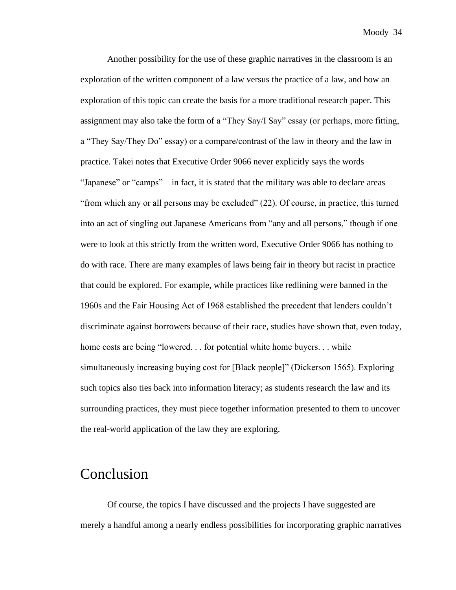Another possibility for the use of these graphic narratives in the classroom is an exploration of the written component of a law versus the practice of a law, and how an exploration of this topic can create the basis for a more traditional research paper. This assignment may also take the form of a "They Say/I Say" essay (or perhaps, more fitting, a "They Say/They Do" essay) or a compare/contrast of the law in theory and the law in practice. Takei notes that Executive Order 9066 never explicitly says the words "Japanese" or "camps" – in fact, it is stated that the military was able to declare areas "from which any or all persons may be excluded" (22). Of course, in practice, this turned into an act of singling out Japanese Americans from "any and all persons," though if one were to look at this strictly from the written word, Executive Order 9066 has nothing to do with race. There are many examples of laws being fair in theory but racist in practice that could be explored. For example, while practices like redlining were banned in the 1960s and the Fair Housing Act of 1968 established the precedent that lenders couldn't discriminate against borrowers because of their race, studies have shown that, even today, home costs are being "lowered. . . for potential white home buyers. . . while simultaneously increasing buying cost for [Black people]" (Dickerson 1565). Exploring such topics also ties back into information literacy; as students research the law and its surrounding practices, they must piece together information presented to them to uncover the real-world application of the law they are exploring.

## Conclusion

Of course, the topics I have discussed and the projects I have suggested are merely a handful among a nearly endless possibilities for incorporating graphic narratives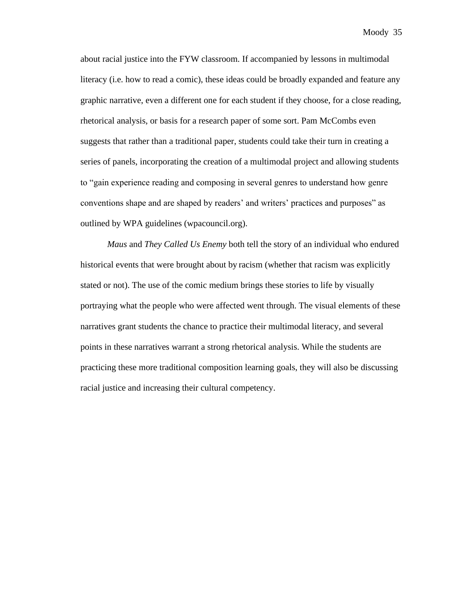about racial justice into the FYW classroom. If accompanied by lessons in multimodal literacy (i.e. how to read a comic), these ideas could be broadly expanded and feature any graphic narrative, even a different one for each student if they choose, for a close reading, rhetorical analysis, or basis for a research paper of some sort. Pam McCombs even suggests that rather than a traditional paper, students could take their turn in creating a series of panels, incorporating the creation of a multimodal project and allowing students to "gain experience reading and composing in several genres to understand how genre conventions shape and are shaped by readers' and writers' practices and purposes" as outlined by WPA guidelines (wpacouncil.org).

*Maus* and *They Called Us Enemy* both tell the story of an individual who endured historical events that were brought about by racism (whether that racism was explicitly stated or not). The use of the comic medium brings these stories to life by visually portraying what the people who were affected went through. The visual elements of these narratives grant students the chance to practice their multimodal literacy, and several points in these narratives warrant a strong rhetorical analysis. While the students are practicing these more traditional composition learning goals, they will also be discussing racial justice and increasing their cultural competency.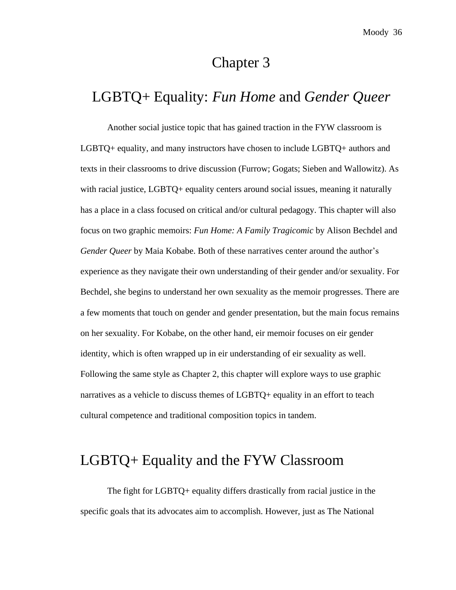# Chapter 3

## LGBTQ+ Equality: *Fun Home* and *Gender Queer*

Another social justice topic that has gained traction in the FYW classroom is LGBTQ+ equality, and many instructors have chosen to include LGBTQ+ authors and texts in their classrooms to drive discussion (Furrow; Gogats; Sieben and Wallowitz). As with racial justice, LGBTQ+ equality centers around social issues, meaning it naturally has a place in a class focused on critical and/or cultural pedagogy. This chapter will also focus on two graphic memoirs: *Fun Home: A Family Tragicomic* by Alison Bechdel and *Gender Queer* by Maia Kobabe. Both of these narratives center around the author's experience as they navigate their own understanding of their gender and/or sexuality. For Bechdel, she begins to understand her own sexuality as the memoir progresses. There are a few moments that touch on gender and gender presentation, but the main focus remains on her sexuality. For Kobabe, on the other hand, eir memoir focuses on eir gender identity, which is often wrapped up in eir understanding of eir sexuality as well. Following the same style as Chapter 2, this chapter will explore ways to use graphic narratives as a vehicle to discuss themes of LGBTQ+ equality in an effort to teach cultural competence and traditional composition topics in tandem.

# LGBTQ+ Equality and the FYW Classroom

The fight for LGBTQ+ equality differs drastically from racial justice in the specific goals that its advocates aim to accomplish. However, just as The National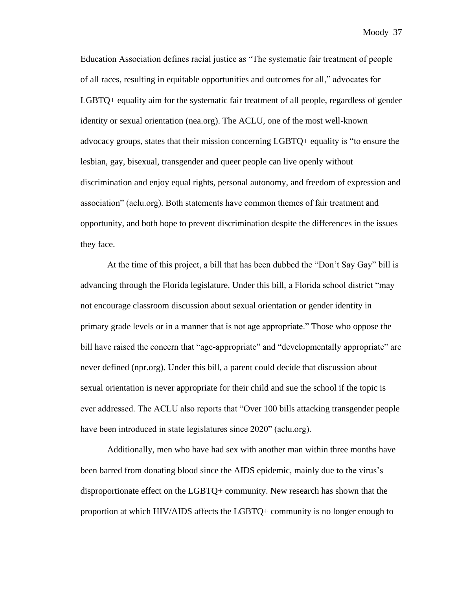Education Association defines racial justice as "The systematic fair treatment of people of all races, resulting in equitable opportunities and outcomes for all," advocates for LGBTQ+ equality aim for the systematic fair treatment of all people, regardless of gender identity or sexual orientation (nea.org). The ACLU, one of the most well-known advocacy groups, states that their mission concerning LGBTQ+ equality is "to ensure the lesbian, gay, bisexual, transgender and queer people can live openly without discrimination and enjoy equal rights, personal autonomy, and freedom of expression and association" (aclu.org). Both statements have common themes of fair treatment and opportunity, and both hope to prevent discrimination despite the differences in the issues they face.

At the time of this project, a bill that has been dubbed the "Don't Say Gay" bill is advancing through the Florida legislature. Under this bill, a Florida school district "may not encourage classroom discussion about sexual orientation or gender identity in primary grade levels or in a manner that is not age appropriate." Those who oppose the bill have raised the concern that "age-appropriate" and "developmentally appropriate" are never defined (npr.org). Under this bill, a parent could decide that discussion about sexual orientation is never appropriate for their child and sue the school if the topic is ever addressed. The ACLU also reports that "Over 100 bills attacking transgender people have been introduced in state legislatures since 2020" (aclu.org).

Additionally, men who have had sex with another man within three months have been barred from donating blood since the AIDS epidemic, mainly due to the virus's disproportionate effect on the LGBTQ+ community. New research has shown that the proportion at which HIV/AIDS affects the LGBTQ+ community is no longer enough to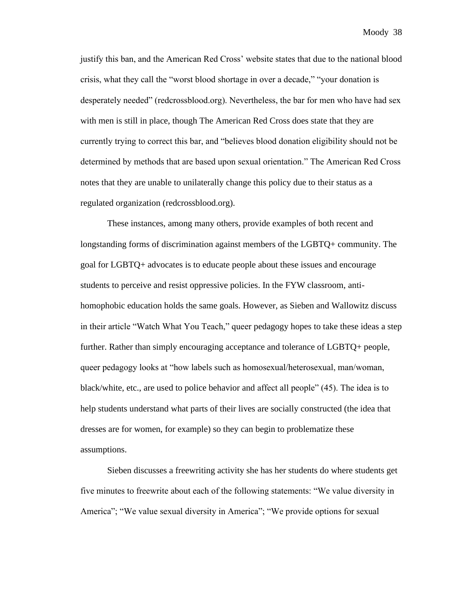justify this ban, and the American Red Cross' website states that due to the national blood crisis, what they call the "worst blood shortage in over a decade," "your donation is desperately needed" (redcrossblood.org). Nevertheless, the bar for men who have had sex with men is still in place, though The American Red Cross does state that they are currently trying to correct this bar, and "believes blood donation eligibility should not be determined by methods that are based upon sexual orientation." The American Red Cross notes that they are unable to unilaterally change this policy due to their status as a regulated organization (redcrossblood.org).

These instances, among many others, provide examples of both recent and longstanding forms of discrimination against members of the LGBTQ+ community. The goal for LGBTQ+ advocates is to educate people about these issues and encourage students to perceive and resist oppressive policies. In the FYW classroom, antihomophobic education holds the same goals. However, as Sieben and Wallowitz discuss in their article "Watch What You Teach," queer pedagogy hopes to take these ideas a step further. Rather than simply encouraging acceptance and tolerance of LGBTQ+ people, queer pedagogy looks at "how labels such as homosexual/heterosexual, man/woman, black/white, etc., are used to police behavior and affect all people" (45). The idea is to help students understand what parts of their lives are socially constructed (the idea that dresses are for women, for example) so they can begin to problematize these assumptions.

Sieben discusses a freewriting activity she has her students do where students get five minutes to freewrite about each of the following statements: "We value diversity in America"; "We value sexual diversity in America"; "We provide options for sexual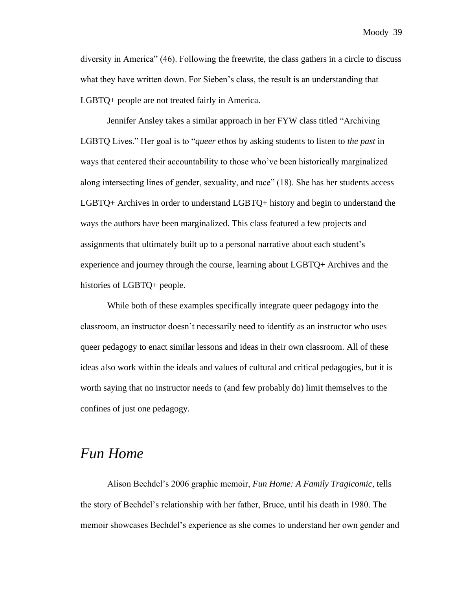diversity in America" (46). Following the freewrite, the class gathers in a circle to discuss what they have written down. For Sieben's class, the result is an understanding that LGBTQ+ people are not treated fairly in America.

Jennifer Ansley takes a similar approach in her FYW class titled "Archiving LGBTQ Lives." Her goal is to "*queer* ethos by asking students to listen to *the past* in ways that centered their accountability to those who've been historically marginalized along intersecting lines of gender, sexuality, and race" (18). She has her students access LGBTQ+ Archives in order to understand LGBTQ+ history and begin to understand the ways the authors have been marginalized. This class featured a few projects and assignments that ultimately built up to a personal narrative about each student's experience and journey through the course, learning about LGBTQ+ Archives and the histories of LGBTQ+ people.

While both of these examples specifically integrate queer pedagogy into the classroom, an instructor doesn't necessarily need to identify as an instructor who uses queer pedagogy to enact similar lessons and ideas in their own classroom. All of these ideas also work within the ideals and values of cultural and critical pedagogies, but it is worth saying that no instructor needs to (and few probably do) limit themselves to the confines of just one pedagogy.

## *Fun Home*

Alison Bechdel's 2006 graphic memoir, *Fun Home: A Family Tragicomic*, tells the story of Bechdel's relationship with her father, Bruce, until his death in 1980. The memoir showcases Bechdel's experience as she comes to understand her own gender and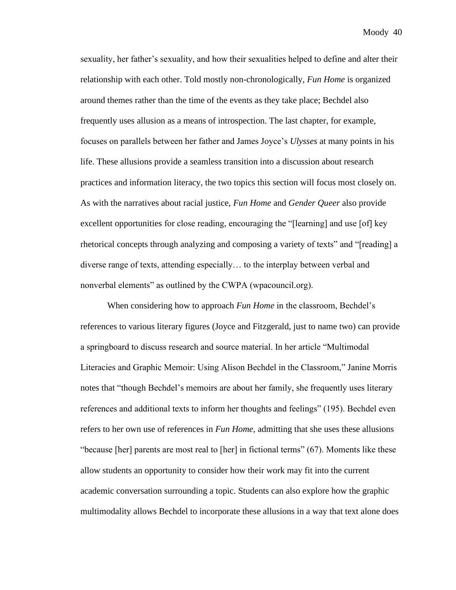sexuality, her father's sexuality, and how their sexualities helped to define and alter their relationship with each other. Told mostly non-chronologically, *Fun Home* is organized around themes rather than the time of the events as they take place; Bechdel also frequently uses allusion as a means of introspection. The last chapter, for example, focuses on parallels between her father and James Joyce's *Ulysses* at many points in his life. These allusions provide a seamless transition into a discussion about research practices and information literacy, the two topics this section will focus most closely on. As with the narratives about racial justice, *Fun Home* and *Gender Queer* also provide excellent opportunities for close reading, encouraging the "[learning] and use [of] key rhetorical concepts through analyzing and composing a variety of texts" and "[reading] a diverse range of texts, attending especially… to the interplay between verbal and nonverbal elements" as outlined by the CWPA (wpacouncil.org).

When considering how to approach *Fun Home* in the classroom, Bechdel's references to various literary figures (Joyce and Fitzgerald, just to name two) can provide a springboard to discuss research and source material. In her article "Multimodal Literacies and Graphic Memoir: Using Alison Bechdel in the Classroom," Janine Morris notes that "though Bechdel's memoirs are about her family, she frequently uses literary references and additional texts to inform her thoughts and feelings" (195). Bechdel even refers to her own use of references in *Fun Home*, admitting that she uses these allusions "because [her] parents are most real to [her] in fictional terms" (67). Moments like these allow students an opportunity to consider how their work may fit into the current academic conversation surrounding a topic. Students can also explore how the graphic multimodality allows Bechdel to incorporate these allusions in a way that text alone does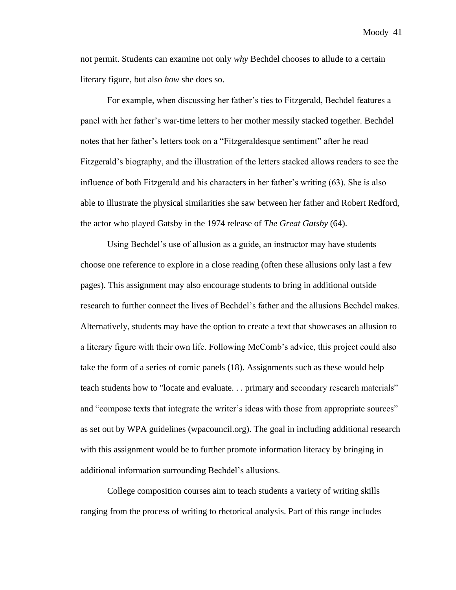not permit. Students can examine not only *why* Bechdel chooses to allude to a certain literary figure, but also *how* she does so.

For example, when discussing her father's ties to Fitzgerald, Bechdel features a panel with her father's war-time letters to her mother messily stacked together. Bechdel notes that her father's letters took on a "Fitzgeraldesque sentiment" after he read Fitzgerald's biography, and the illustration of the letters stacked allows readers to see the influence of both Fitzgerald and his characters in her father's writing (63). She is also able to illustrate the physical similarities she saw between her father and Robert Redford, the actor who played Gatsby in the 1974 release of *The Great Gatsby* (64).

Using Bechdel's use of allusion as a guide, an instructor may have students choose one reference to explore in a close reading (often these allusions only last a few pages). This assignment may also encourage students to bring in additional outside research to further connect the lives of Bechdel's father and the allusions Bechdel makes. Alternatively, students may have the option to create a text that showcases an allusion to a literary figure with their own life. Following McComb's advice, this project could also take the form of a series of comic panels (18). Assignments such as these would help teach students how to "locate and evaluate. . . primary and secondary research materials" and "compose texts that integrate the writer's ideas with those from appropriate sources" as set out by WPA guidelines (wpacouncil.org). The goal in including additional research with this assignment would be to further promote information literacy by bringing in additional information surrounding Bechdel's allusions.

College composition courses aim to teach students a variety of writing skills ranging from the process of writing to rhetorical analysis. Part of this range includes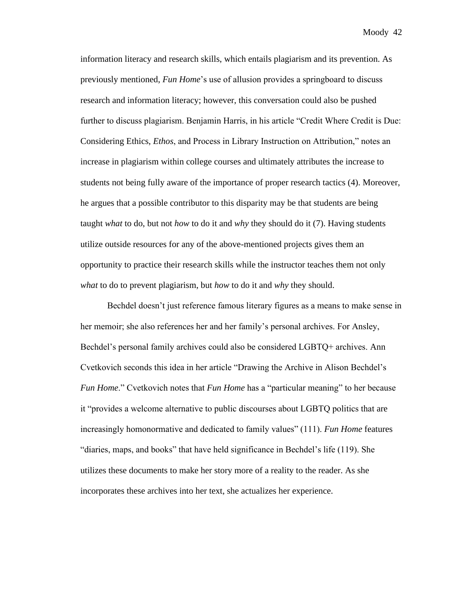information literacy and research skills, which entails plagiarism and its prevention. As previously mentioned, *Fun Home*'s use of allusion provides a springboard to discuss research and information literacy; however, this conversation could also be pushed further to discuss plagiarism. Benjamin Harris, in his article "Credit Where Credit is Due: Considering Ethics, *Ethos*, and Process in Library Instruction on Attribution," notes an increase in plagiarism within college courses and ultimately attributes the increase to students not being fully aware of the importance of proper research tactics (4). Moreover, he argues that a possible contributor to this disparity may be that students are being taught *what* to do, but not *how* to do it and *why* they should do it (7). Having students utilize outside resources for any of the above-mentioned projects gives them an opportunity to practice their research skills while the instructor teaches them not only *what* to do to prevent plagiarism, but *how* to do it and *why* they should.

Bechdel doesn't just reference famous literary figures as a means to make sense in her memoir; she also references her and her family's personal archives. For Ansley, Bechdel's personal family archives could also be considered LGBTQ+ archives. Ann Cvetkovich seconds this idea in her article "Drawing the Archive in Alison Bechdel's *Fun Home.*" Cvetkovich notes that *Fun Home* has a "particular meaning" to her because it "provides a welcome alternative to public discourses about LGBTQ politics that are increasingly homonormative and dedicated to family values" (111). *Fun Home* features "diaries, maps, and books" that have held significance in Bechdel's life (119). She utilizes these documents to make her story more of a reality to the reader. As she incorporates these archives into her text, she actualizes her experience.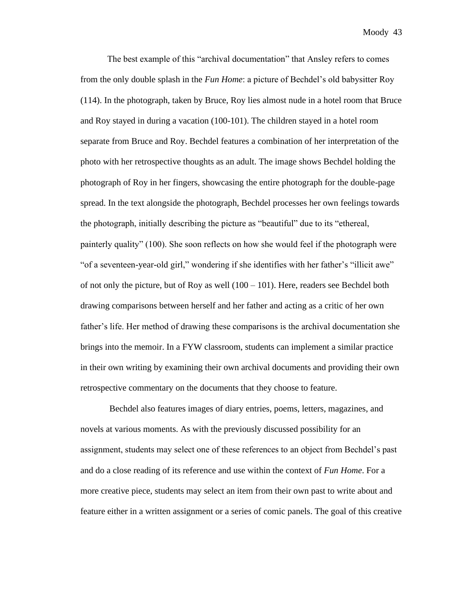The best example of this "archival documentation" that Ansley refers to comes from the only double splash in the *Fun Home*: a picture of Bechdel's old babysitter Roy (114). In the photograph, taken by Bruce, Roy lies almost nude in a hotel room that Bruce and Roy stayed in during a vacation (100-101). The children stayed in a hotel room separate from Bruce and Roy. Bechdel features a combination of her interpretation of the photo with her retrospective thoughts as an adult. The image shows Bechdel holding the photograph of Roy in her fingers, showcasing the entire photograph for the double-page spread. In the text alongside the photograph, Bechdel processes her own feelings towards the photograph, initially describing the picture as "beautiful" due to its "ethereal, painterly quality" (100). She soon reflects on how she would feel if the photograph were "of a seventeen-year-old girl," wondering if she identifies with her father's "illicit awe" of not only the picture, but of Roy as well  $(100 - 101)$ . Here, readers see Bechdel both drawing comparisons between herself and her father and acting as a critic of her own father's life. Her method of drawing these comparisons is the archival documentation she brings into the memoir. In a FYW classroom, students can implement a similar practice in their own writing by examining their own archival documents and providing their own retrospective commentary on the documents that they choose to feature.

Bechdel also features images of diary entries, poems, letters, magazines, and novels at various moments. As with the previously discussed possibility for an assignment, students may select one of these references to an object from Bechdel's past and do a close reading of its reference and use within the context of *Fun Home*. For a more creative piece, students may select an item from their own past to write about and feature either in a written assignment or a series of comic panels. The goal of this creative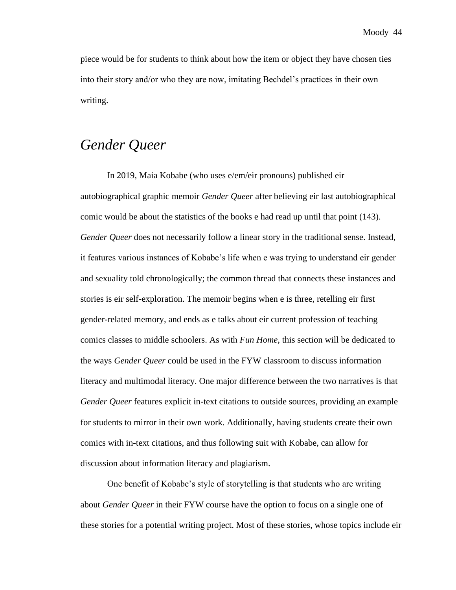piece would be for students to think about how the item or object they have chosen ties into their story and/or who they are now, imitating Bechdel's practices in their own writing.

# *Gender Queer*

In 2019, Maia Kobabe (who uses e/em/eir pronouns) published eir autobiographical graphic memoir *Gender Queer* after believing eir last autobiographical comic would be about the statistics of the books e had read up until that point (143). *Gender Queer* does not necessarily follow a linear story in the traditional sense. Instead, it features various instances of Kobabe's life when e was trying to understand eir gender and sexuality told chronologically; the common thread that connects these instances and stories is eir self-exploration. The memoir begins when e is three, retelling eir first gender-related memory, and ends as e talks about eir current profession of teaching comics classes to middle schoolers. As with *Fun Home*, this section will be dedicated to the ways *Gender Queer* could be used in the FYW classroom to discuss information literacy and multimodal literacy. One major difference between the two narratives is that *Gender Queer* features explicit in-text citations to outside sources, providing an example for students to mirror in their own work. Additionally, having students create their own comics with in-text citations, and thus following suit with Kobabe, can allow for discussion about information literacy and plagiarism.

One benefit of Kobabe's style of storytelling is that students who are writing about *Gender Queer* in their FYW course have the option to focus on a single one of these stories for a potential writing project. Most of these stories, whose topics include eir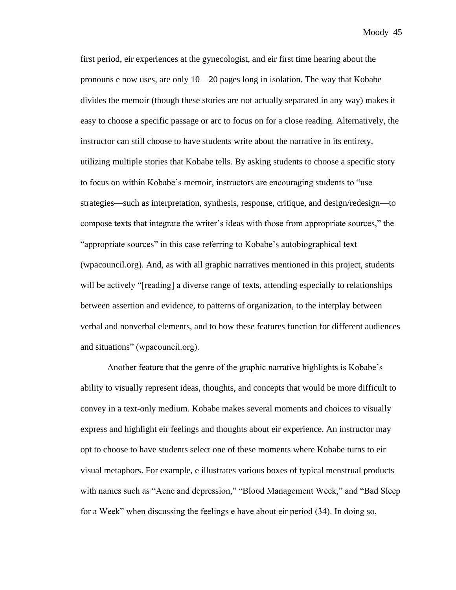first period, eir experiences at the gynecologist, and eir first time hearing about the pronouns e now uses, are only  $10 - 20$  pages long in isolation. The way that Kobabe divides the memoir (though these stories are not actually separated in any way) makes it easy to choose a specific passage or arc to focus on for a close reading. Alternatively, the instructor can still choose to have students write about the narrative in its entirety, utilizing multiple stories that Kobabe tells. By asking students to choose a specific story to focus on within Kobabe's memoir, instructors are encouraging students to "use strategies—such as interpretation, synthesis, response, critique, and design/redesign—to compose texts that integrate the writer's ideas with those from appropriate sources," the "appropriate sources" in this case referring to Kobabe's autobiographical text (wpacouncil.org). And, as with all graphic narratives mentioned in this project, students will be actively "[reading] a diverse range of texts, attending especially to relationships between assertion and evidence, to patterns of organization, to the interplay between verbal and nonverbal elements, and to how these features function for different audiences and situations" (wpacouncil.org).

Another feature that the genre of the graphic narrative highlights is Kobabe's ability to visually represent ideas, thoughts, and concepts that would be more difficult to convey in a text-only medium. Kobabe makes several moments and choices to visually express and highlight eir feelings and thoughts about eir experience. An instructor may opt to choose to have students select one of these moments where Kobabe turns to eir visual metaphors. For example, e illustrates various boxes of typical menstrual products with names such as "Acne and depression," "Blood Management Week," and "Bad Sleep for a Week" when discussing the feelings e have about eir period (34). In doing so,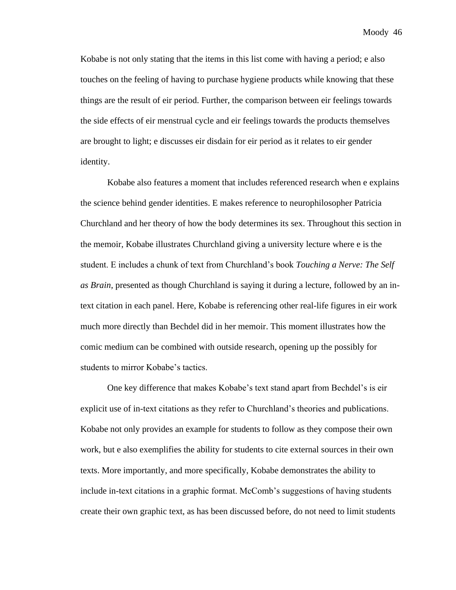Kobabe is not only stating that the items in this list come with having a period; e also touches on the feeling of having to purchase hygiene products while knowing that these things are the result of eir period. Further, the comparison between eir feelings towards the side effects of eir menstrual cycle and eir feelings towards the products themselves are brought to light; e discusses eir disdain for eir period as it relates to eir gender identity.

Kobabe also features a moment that includes referenced research when e explains the science behind gender identities. E makes reference to neurophilosopher Patricia Churchland and her theory of how the body determines its sex. Throughout this section in the memoir, Kobabe illustrates Churchland giving a university lecture where e is the student. E includes a chunk of text from Churchland's book *Touching a Nerve: The Self as Brain,* presented as though Churchland is saying it during a lecture, followed by an intext citation in each panel. Here, Kobabe is referencing other real-life figures in eir work much more directly than Bechdel did in her memoir. This moment illustrates how the comic medium can be combined with outside research, opening up the possibly for students to mirror Kobabe's tactics.

One key difference that makes Kobabe's text stand apart from Bechdel's is eir explicit use of in-text citations as they refer to Churchland's theories and publications. Kobabe not only provides an example for students to follow as they compose their own work, but e also exemplifies the ability for students to cite external sources in their own texts. More importantly, and more specifically, Kobabe demonstrates the ability to include in-text citations in a graphic format. McComb's suggestions of having students create their own graphic text, as has been discussed before, do not need to limit students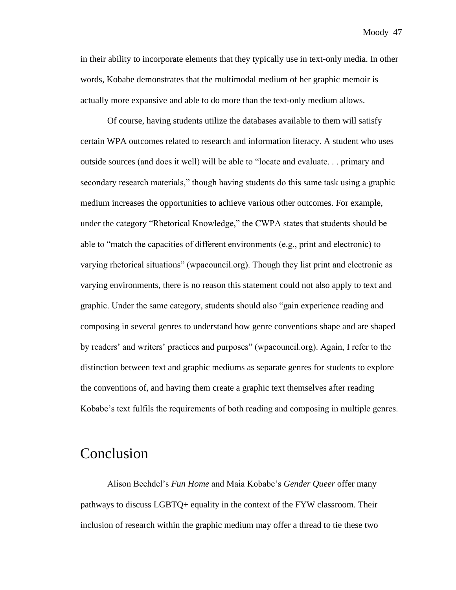in their ability to incorporate elements that they typically use in text-only media. In other words, Kobabe demonstrates that the multimodal medium of her graphic memoir is actually more expansive and able to do more than the text-only medium allows.

Of course, having students utilize the databases available to them will satisfy certain WPA outcomes related to research and information literacy. A student who uses outside sources (and does it well) will be able to "locate and evaluate. . . primary and secondary research materials," though having students do this same task using a graphic medium increases the opportunities to achieve various other outcomes. For example, under the category "Rhetorical Knowledge," the CWPA states that students should be able to "match the capacities of different environments (e.g., print and electronic) to varying rhetorical situations" (wpacouncil.org). Though they list print and electronic as varying environments, there is no reason this statement could not also apply to text and graphic. Under the same category, students should also "gain experience reading and composing in several genres to understand how genre conventions shape and are shaped by readers' and writers' practices and purposes" (wpacouncil.org). Again, I refer to the distinction between text and graphic mediums as separate genres for students to explore the conventions of, and having them create a graphic text themselves after reading Kobabe's text fulfils the requirements of both reading and composing in multiple genres.

### Conclusion

Alison Bechdel's *Fun Home* and Maia Kobabe's *Gender Queer* offer many pathways to discuss LGBTQ+ equality in the context of the FYW classroom. Their inclusion of research within the graphic medium may offer a thread to tie these two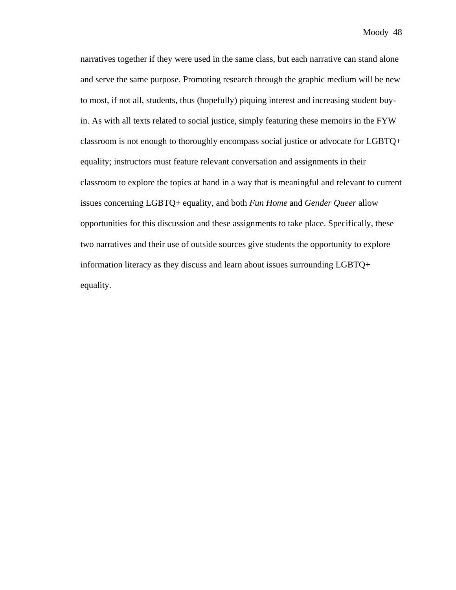narratives together if they were used in the same class, but each narrative can stand alone and serve the same purpose. Promoting research through the graphic medium will be new to most, if not all, students, thus (hopefully) piquing interest and increasing student buyin. As with all texts related to social justice, simply featuring these memoirs in the FYW classroom is not enough to thoroughly encompass social justice or advocate for LGBTQ+ equality; instructors must feature relevant conversation and assignments in their classroom to explore the topics at hand in a way that is meaningful and relevant to current issues concerning LGBTQ+ equality, and both *Fun Home* and *Gender Queer* allow opportunities for this discussion and these assignments to take place. Specifically, these two narratives and their use of outside sources give students the opportunity to explore information literacy as they discuss and learn about issues surrounding LGBTQ+ equality.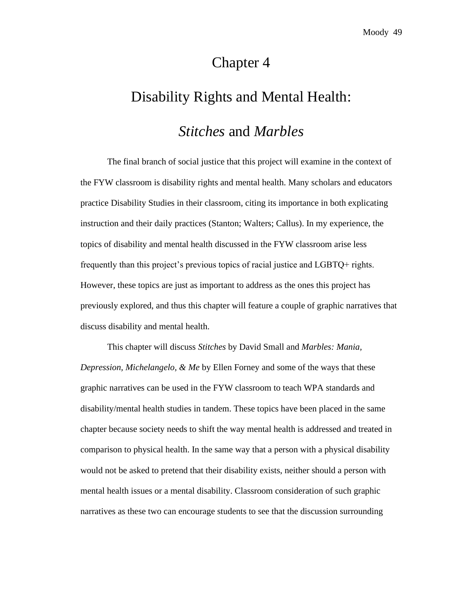## Chapter 4

# Disability Rights and Mental Health:

#### *Stitches* and *Marbles*

The final branch of social justice that this project will examine in the context of the FYW classroom is disability rights and mental health. Many scholars and educators practice Disability Studies in their classroom, citing its importance in both explicating instruction and their daily practices (Stanton; Walters; Callus). In my experience, the topics of disability and mental health discussed in the FYW classroom arise less frequently than this project's previous topics of racial justice and LGBTQ+ rights. However, these topics are just as important to address as the ones this project has previously explored, and thus this chapter will feature a couple of graphic narratives that discuss disability and mental health.

This chapter will discuss *Stitches* by David Small and *Marbles: Mania, Depression, Michelangelo, & Me* by Ellen Forney and some of the ways that these graphic narratives can be used in the FYW classroom to teach WPA standards and disability/mental health studies in tandem. These topics have been placed in the same chapter because society needs to shift the way mental health is addressed and treated in comparison to physical health. In the same way that a person with a physical disability would not be asked to pretend that their disability exists, neither should a person with mental health issues or a mental disability. Classroom consideration of such graphic narratives as these two can encourage students to see that the discussion surrounding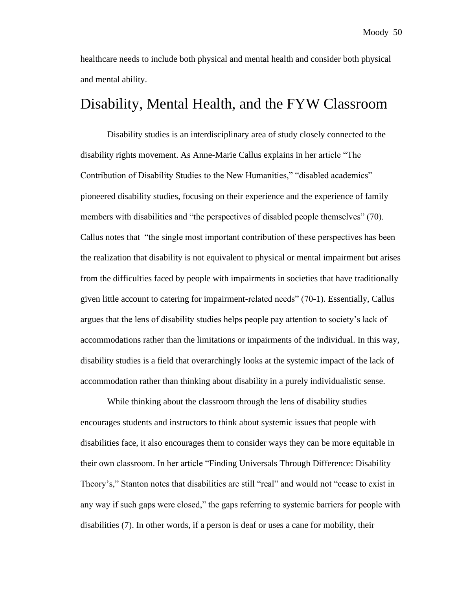healthcare needs to include both physical and mental health and consider both physical and mental ability.

## Disability, Mental Health, and the FYW Classroom

Disability studies is an interdisciplinary area of study closely connected to the disability rights movement. As Anne-Marie Callus explains in her article "The Contribution of Disability Studies to the New Humanities," "disabled academics" pioneered disability studies, focusing on their experience and the experience of family members with disabilities and "the perspectives of disabled people themselves" (70). Callus notes that "the single most important contribution of these perspectives has been the realization that disability is not equivalent to physical or mental impairment but arises from the difficulties faced by people with impairments in societies that have traditionally given little account to catering for impairment-related needs" (70-1). Essentially, Callus argues that the lens of disability studies helps people pay attention to society's lack of accommodations rather than the limitations or impairments of the individual. In this way, disability studies is a field that overarchingly looks at the systemic impact of the lack of accommodation rather than thinking about disability in a purely individualistic sense.

While thinking about the classroom through the lens of disability studies encourages students and instructors to think about systemic issues that people with disabilities face, it also encourages them to consider ways they can be more equitable in their own classroom. In her article "Finding Universals Through Difference: Disability Theory's," Stanton notes that disabilities are still "real" and would not "cease to exist in any way if such gaps were closed," the gaps referring to systemic barriers for people with disabilities (7). In other words, if a person is deaf or uses a cane for mobility, their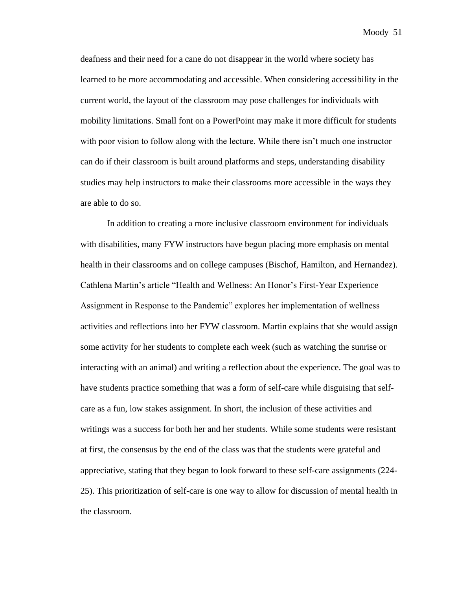deafness and their need for a cane do not disappear in the world where society has learned to be more accommodating and accessible. When considering accessibility in the current world, the layout of the classroom may pose challenges for individuals with mobility limitations. Small font on a PowerPoint may make it more difficult for students with poor vision to follow along with the lecture. While there isn't much one instructor can do if their classroom is built around platforms and steps, understanding disability studies may help instructors to make their classrooms more accessible in the ways they are able to do so.

In addition to creating a more inclusive classroom environment for individuals with disabilities, many FYW instructors have begun placing more emphasis on mental health in their classrooms and on college campuses (Bischof, Hamilton, and Hernandez). Cathlena Martin's article "Health and Wellness: An Honor's First-Year Experience Assignment in Response to the Pandemic" explores her implementation of wellness activities and reflections into her FYW classroom. Martin explains that she would assign some activity for her students to complete each week (such as watching the sunrise or interacting with an animal) and writing a reflection about the experience. The goal was to have students practice something that was a form of self-care while disguising that selfcare as a fun, low stakes assignment. In short, the inclusion of these activities and writings was a success for both her and her students. While some students were resistant at first, the consensus by the end of the class was that the students were grateful and appreciative, stating that they began to look forward to these self-care assignments (224- 25). This prioritization of self-care is one way to allow for discussion of mental health in the classroom.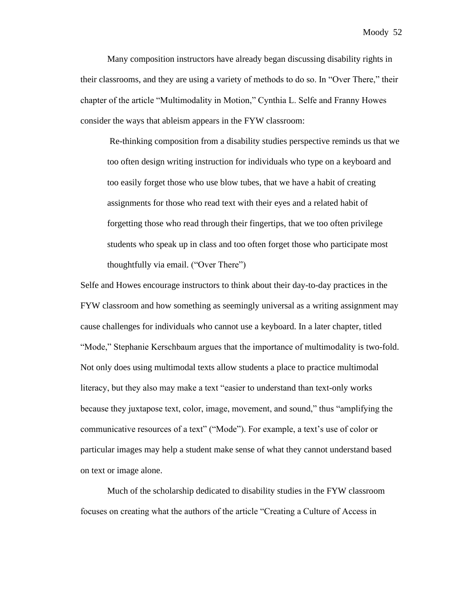Many composition instructors have already began discussing disability rights in their classrooms, and they are using a variety of methods to do so. In "Over There," their chapter of the article "Multimodality in Motion," Cynthia L. Selfe and Franny Howes consider the ways that ableism appears in the FYW classroom:

Re-thinking composition from a disability studies perspective reminds us that we too often design writing instruction for individuals who type on a keyboard and too easily forget those who use blow tubes, that we have a habit of creating assignments for those who read text with their eyes and a related habit of forgetting those who read through their fingertips, that we too often privilege students who speak up in class and too often forget those who participate most thoughtfully via email. ("Over There")

Selfe and Howes encourage instructors to think about their day-to-day practices in the FYW classroom and how something as seemingly universal as a writing assignment may cause challenges for individuals who cannot use a keyboard. In a later chapter, titled "Mode," Stephanie Kerschbaum argues that the importance of multimodality is two-fold. Not only does using multimodal texts allow students a place to practice multimodal literacy, but they also may make a text "easier to understand than text-only works because they juxtapose text, color, image, movement, and sound," thus "amplifying the communicative resources of a text" ("Mode"). For example, a text's use of color or particular images may help a student make sense of what they cannot understand based on text or image alone.

Much of the scholarship dedicated to disability studies in the FYW classroom focuses on creating what the authors of the article "Creating a Culture of Access in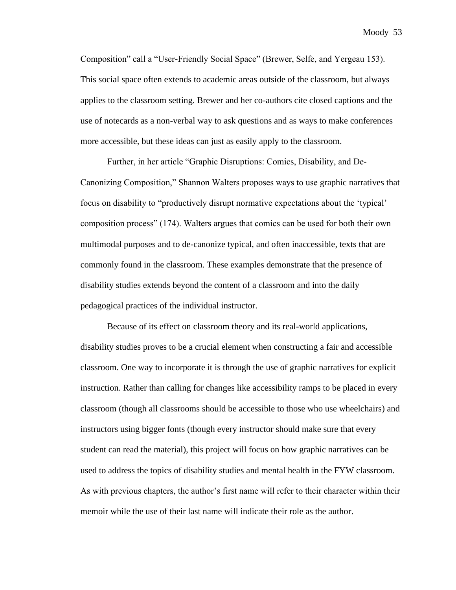Composition" call a "User-Friendly Social Space" (Brewer, Selfe, and Yergeau 153). This social space often extends to academic areas outside of the classroom, but always applies to the classroom setting. Brewer and her co-authors cite closed captions and the use of notecards as a non-verbal way to ask questions and as ways to make conferences more accessible, but these ideas can just as easily apply to the classroom.

Further, in her article "Graphic Disruptions: Comics, Disability, and De-Canonizing Composition," Shannon Walters proposes ways to use graphic narratives that focus on disability to "productively disrupt normative expectations about the 'typical' composition process" (174). Walters argues that comics can be used for both their own multimodal purposes and to de-canonize typical, and often inaccessible, texts that are commonly found in the classroom. These examples demonstrate that the presence of disability studies extends beyond the content of a classroom and into the daily pedagogical practices of the individual instructor.

Because of its effect on classroom theory and its real-world applications, disability studies proves to be a crucial element when constructing a fair and accessible classroom. One way to incorporate it is through the use of graphic narratives for explicit instruction. Rather than calling for changes like accessibility ramps to be placed in every classroom (though all classrooms should be accessible to those who use wheelchairs) and instructors using bigger fonts (though every instructor should make sure that every student can read the material), this project will focus on how graphic narratives can be used to address the topics of disability studies and mental health in the FYW classroom. As with previous chapters, the author's first name will refer to their character within their memoir while the use of their last name will indicate their role as the author.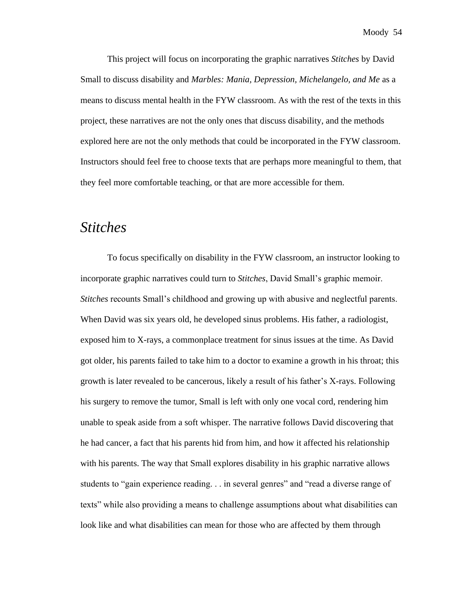This project will focus on incorporating the graphic narratives *Stitches* by David Small to discuss disability and *Marbles: Mania, Depression, Michelangelo, and Me* as a means to discuss mental health in the FYW classroom. As with the rest of the texts in this project, these narratives are not the only ones that discuss disability, and the methods explored here are not the only methods that could be incorporated in the FYW classroom. Instructors should feel free to choose texts that are perhaps more meaningful to them, that they feel more comfortable teaching, or that are more accessible for them.

### *Stitches*

To focus specifically on disability in the FYW classroom, an instructor looking to incorporate graphic narratives could turn to *Stitches*, David Small's graphic memoir. *Stitches* recounts Small's childhood and growing up with abusive and neglectful parents. When David was six years old, he developed sinus problems. His father, a radiologist, exposed him to X-rays, a commonplace treatment for sinus issues at the time. As David got older, his parents failed to take him to a doctor to examine a growth in his throat; this growth is later revealed to be cancerous, likely a result of his father's X-rays. Following his surgery to remove the tumor, Small is left with only one vocal cord, rendering him unable to speak aside from a soft whisper. The narrative follows David discovering that he had cancer, a fact that his parents hid from him, and how it affected his relationship with his parents. The way that Small explores disability in his graphic narrative allows students to "gain experience reading. . . in several genres" and "read a diverse range of texts" while also providing a means to challenge assumptions about what disabilities can look like and what disabilities can mean for those who are affected by them through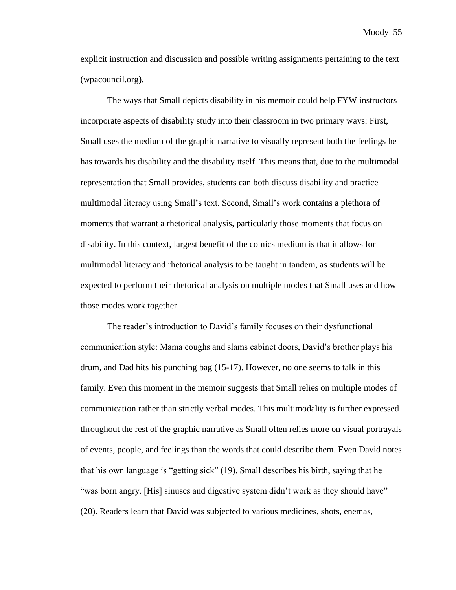explicit instruction and discussion and possible writing assignments pertaining to the text (wpacouncil.org).

The ways that Small depicts disability in his memoir could help FYW instructors incorporate aspects of disability study into their classroom in two primary ways: First, Small uses the medium of the graphic narrative to visually represent both the feelings he has towards his disability and the disability itself. This means that, due to the multimodal representation that Small provides, students can both discuss disability and practice multimodal literacy using Small's text. Second, Small's work contains a plethora of moments that warrant a rhetorical analysis, particularly those moments that focus on disability. In this context, largest benefit of the comics medium is that it allows for multimodal literacy and rhetorical analysis to be taught in tandem, as students will be expected to perform their rhetorical analysis on multiple modes that Small uses and how those modes work together.

The reader's introduction to David's family focuses on their dysfunctional communication style: Mama coughs and slams cabinet doors, David's brother plays his drum, and Dad hits his punching bag (15-17). However, no one seems to talk in this family. Even this moment in the memoir suggests that Small relies on multiple modes of communication rather than strictly verbal modes. This multimodality is further expressed throughout the rest of the graphic narrative as Small often relies more on visual portrayals of events, people, and feelings than the words that could describe them. Even David notes that his own language is "getting sick" (19). Small describes his birth, saying that he "was born angry. [His] sinuses and digestive system didn't work as they should have" (20). Readers learn that David was subjected to various medicines, shots, enemas,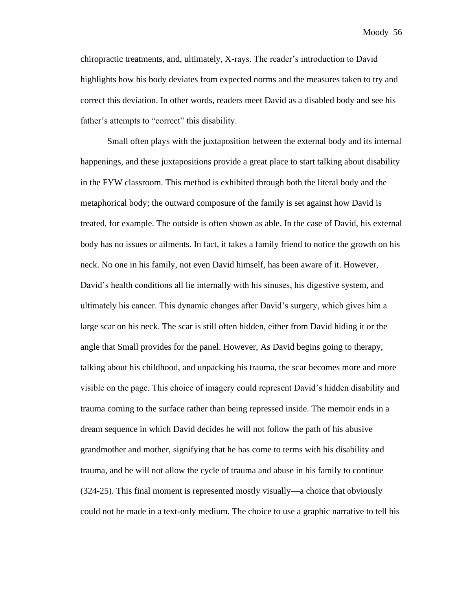chiropractic treatments, and, ultimately, X-rays. The reader's introduction to David highlights how his body deviates from expected norms and the measures taken to try and correct this deviation. In other words, readers meet David as a disabled body and see his father's attempts to "correct" this disability.

Small often plays with the juxtaposition between the external body and its internal happenings, and these juxtapositions provide a great place to start talking about disability in the FYW classroom. This method is exhibited through both the literal body and the metaphorical body; the outward composure of the family is set against how David is treated, for example. The outside is often shown as able. In the case of David, his external body has no issues or ailments. In fact, it takes a family friend to notice the growth on his neck. No one in his family, not even David himself, has been aware of it. However, David's health conditions all lie internally with his sinuses, his digestive system, and ultimately his cancer. This dynamic changes after David's surgery, which gives him a large scar on his neck. The scar is still often hidden, either from David hiding it or the angle that Small provides for the panel. However, As David begins going to therapy, talking about his childhood, and unpacking his trauma, the scar becomes more and more visible on the page. This choice of imagery could represent David's hidden disability and trauma coming to the surface rather than being repressed inside. The memoir ends in a dream sequence in which David decides he will not follow the path of his abusive grandmother and mother, signifying that he has come to terms with his disability and trauma, and he will not allow the cycle of trauma and abuse in his family to continue (324-25). This final moment is represented mostly visually—a choice that obviously could not be made in a text-only medium. The choice to use a graphic narrative to tell his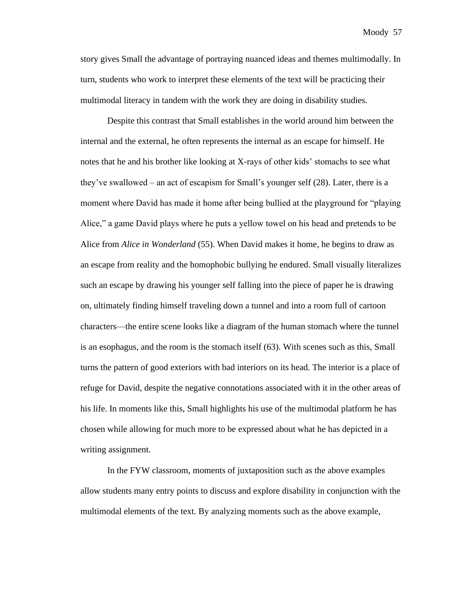story gives Small the advantage of portraying nuanced ideas and themes multimodally. In turn, students who work to interpret these elements of the text will be practicing their multimodal literacy in tandem with the work they are doing in disability studies.

Despite this contrast that Small establishes in the world around him between the internal and the external, he often represents the internal as an escape for himself. He notes that he and his brother like looking at X-rays of other kids' stomachs to see what they've swallowed – an act of escapism for Small's younger self (28). Later, there is a moment where David has made it home after being bullied at the playground for "playing Alice," a game David plays where he puts a yellow towel on his head and pretends to be Alice from *Alice in Wonderland* (55). When David makes it home, he begins to draw as an escape from reality and the homophobic bullying he endured. Small visually literalizes such an escape by drawing his younger self falling into the piece of paper he is drawing on, ultimately finding himself traveling down a tunnel and into a room full of cartoon characters—the entire scene looks like a diagram of the human stomach where the tunnel is an esophagus, and the room is the stomach itself (63). With scenes such as this, Small turns the pattern of good exteriors with bad interiors on its head. The interior is a place of refuge for David, despite the negative connotations associated with it in the other areas of his life. In moments like this, Small highlights his use of the multimodal platform he has chosen while allowing for much more to be expressed about what he has depicted in a writing assignment.

In the FYW classroom, moments of juxtaposition such as the above examples allow students many entry points to discuss and explore disability in conjunction with the multimodal elements of the text. By analyzing moments such as the above example,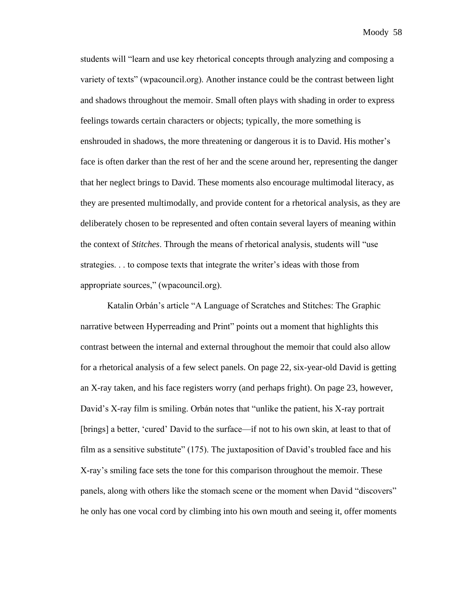students will "learn and use key rhetorical concepts through analyzing and composing a variety of texts" (wpacouncil.org). Another instance could be the contrast between light and shadows throughout the memoir. Small often plays with shading in order to express feelings towards certain characters or objects; typically, the more something is enshrouded in shadows, the more threatening or dangerous it is to David. His mother's face is often darker than the rest of her and the scene around her, representing the danger that her neglect brings to David. These moments also encourage multimodal literacy, as they are presented multimodally, and provide content for a rhetorical analysis, as they are deliberately chosen to be represented and often contain several layers of meaning within the context of *Stitches*. Through the means of rhetorical analysis, students will "use strategies. . . to compose texts that integrate the writer's ideas with those from appropriate sources," (wpacouncil.org).

Katalin Orbán's article "A Language of Scratches and Stitches: The Graphic narrative between Hyperreading and Print" points out a moment that highlights this contrast between the internal and external throughout the memoir that could also allow for a rhetorical analysis of a few select panels. On page 22, six-year-old David is getting an X-ray taken, and his face registers worry (and perhaps fright). On page 23, however, David's X-ray film is smiling. Orbán notes that "unlike the patient, his X-ray portrait [brings] a better, 'cured' David to the surface—if not to his own skin, at least to that of film as a sensitive substitute" (175). The juxtaposition of David's troubled face and his X-ray's smiling face sets the tone for this comparison throughout the memoir. These panels, along with others like the stomach scene or the moment when David "discovers" he only has one vocal cord by climbing into his own mouth and seeing it, offer moments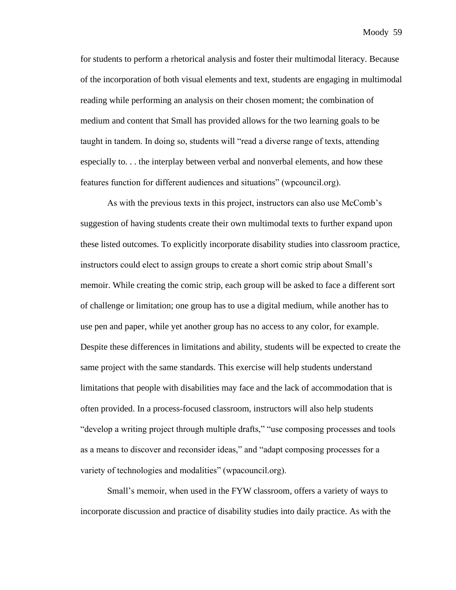for students to perform a rhetorical analysis and foster their multimodal literacy. Because of the incorporation of both visual elements and text, students are engaging in multimodal reading while performing an analysis on their chosen moment; the combination of medium and content that Small has provided allows for the two learning goals to be taught in tandem. In doing so, students will "read a diverse range of texts, attending especially to. . . the interplay between verbal and nonverbal elements, and how these features function for different audiences and situations" (wpcouncil.org).

As with the previous texts in this project, instructors can also use McComb's suggestion of having students create their own multimodal texts to further expand upon these listed outcomes. To explicitly incorporate disability studies into classroom practice, instructors could elect to assign groups to create a short comic strip about Small's memoir. While creating the comic strip, each group will be asked to face a different sort of challenge or limitation; one group has to use a digital medium, while another has to use pen and paper, while yet another group has no access to any color, for example. Despite these differences in limitations and ability, students will be expected to create the same project with the same standards. This exercise will help students understand limitations that people with disabilities may face and the lack of accommodation that is often provided. In a process-focused classroom, instructors will also help students "develop a writing project through multiple drafts," "use composing processes and tools as a means to discover and reconsider ideas," and "adapt composing processes for a variety of technologies and modalities" (wpacouncil.org).

Small's memoir, when used in the FYW classroom, offers a variety of ways to incorporate discussion and practice of disability studies into daily practice. As with the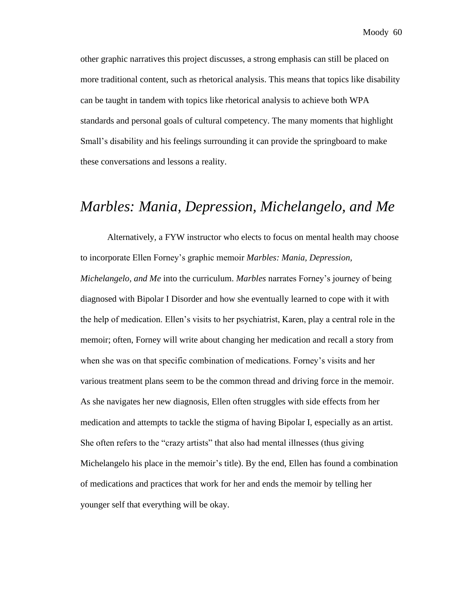other graphic narratives this project discusses, a strong emphasis can still be placed on more traditional content, such as rhetorical analysis. This means that topics like disability can be taught in tandem with topics like rhetorical analysis to achieve both WPA standards and personal goals of cultural competency. The many moments that highlight Small's disability and his feelings surrounding it can provide the springboard to make these conversations and lessons a reality.

# *Marbles: Mania, Depression, Michelangelo, and Me*

Alternatively, a FYW instructor who elects to focus on mental health may choose to incorporate Ellen Forney's graphic memoir *Marbles: Mania, Depression,* 

*Michelangelo, and Me* into the curriculum. *Marbles* narrates Forney's journey of being diagnosed with Bipolar I Disorder and how she eventually learned to cope with it with the help of medication. Ellen's visits to her psychiatrist, Karen, play a central role in the memoir; often, Forney will write about changing her medication and recall a story from when she was on that specific combination of medications. Forney's visits and her various treatment plans seem to be the common thread and driving force in the memoir. As she navigates her new diagnosis, Ellen often struggles with side effects from her medication and attempts to tackle the stigma of having Bipolar I, especially as an artist. She often refers to the "crazy artists" that also had mental illnesses (thus giving Michelangelo his place in the memoir's title). By the end, Ellen has found a combination of medications and practices that work for her and ends the memoir by telling her younger self that everything will be okay.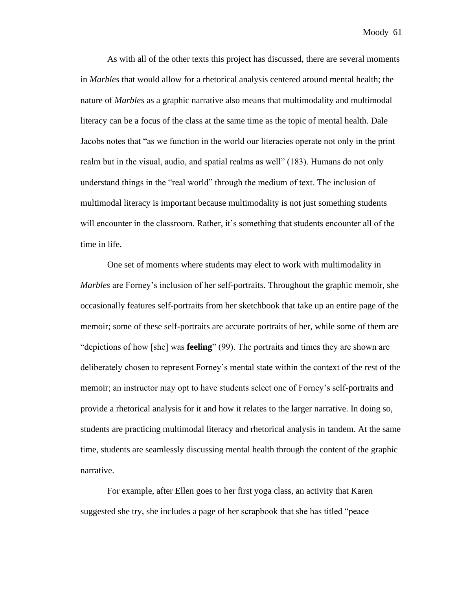As with all of the other texts this project has discussed, there are several moments in *Marbles* that would allow for a rhetorical analysis centered around mental health; the nature of *Marbles* as a graphic narrative also means that multimodality and multimodal literacy can be a focus of the class at the same time as the topic of mental health. Dale Jacobs notes that "as we function in the world our literacies operate not only in the print realm but in the visual, audio, and spatial realms as well" (183). Humans do not only understand things in the "real world" through the medium of text. The inclusion of multimodal literacy is important because multimodality is not just something students will encounter in the classroom. Rather, it's something that students encounter all of the time in life.

One set of moments where students may elect to work with multimodality in *Marbles* are Forney's inclusion of her self-portraits. Throughout the graphic memoir, she occasionally features self-portraits from her sketchbook that take up an entire page of the memoir; some of these self-portraits are accurate portraits of her, while some of them are "depictions of how [she] was **feeling**" (99). The portraits and times they are shown are deliberately chosen to represent Forney's mental state within the context of the rest of the memoir; an instructor may opt to have students select one of Forney's self-portraits and provide a rhetorical analysis for it and how it relates to the larger narrative. In doing so, students are practicing multimodal literacy and rhetorical analysis in tandem. At the same time, students are seamlessly discussing mental health through the content of the graphic narrative.

For example, after Ellen goes to her first yoga class, an activity that Karen suggested she try, she includes a page of her scrapbook that she has titled "peace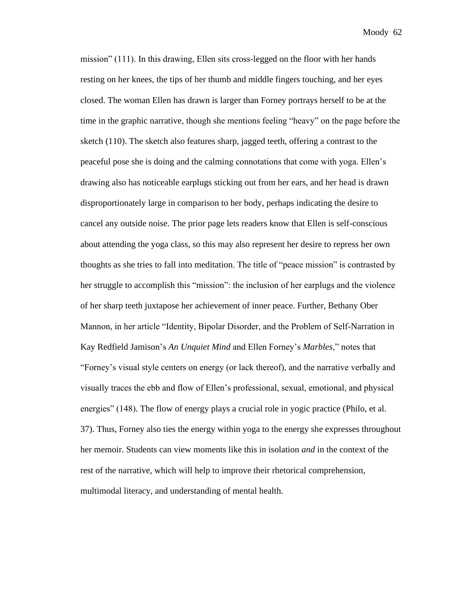mission" (111). In this drawing, Ellen sits cross-legged on the floor with her hands resting on her knees, the tips of her thumb and middle fingers touching, and her eyes closed. The woman Ellen has drawn is larger than Forney portrays herself to be at the time in the graphic narrative, though she mentions feeling "heavy" on the page before the sketch (110). The sketch also features sharp, jagged teeth, offering a contrast to the peaceful pose she is doing and the calming connotations that come with yoga. Ellen's drawing also has noticeable earplugs sticking out from her ears, and her head is drawn disproportionately large in comparison to her body, perhaps indicating the desire to cancel any outside noise. The prior page lets readers know that Ellen is self-conscious about attending the yoga class, so this may also represent her desire to repress her own thoughts as she tries to fall into meditation. The title of "peace mission" is contrasted by her struggle to accomplish this "mission": the inclusion of her earplugs and the violence of her sharp teeth juxtapose her achievement of inner peace. Further, Bethany Ober Mannon, in her article "Identity, Bipolar Disorder, and the Problem of Self-Narration in Kay Redfield Jamison's *An Unquiet Mind* and Ellen Forney's *Marbles*," notes that "Forney's visual style centers on energy (or lack thereof), and the narrative verbally and visually traces the ebb and flow of Ellen's professional, sexual, emotional, and physical energies" (148). The flow of energy plays a crucial role in yogic practice (Philo, et al. 37). Thus, Forney also ties the energy within yoga to the energy she expresses throughout her memoir. Students can view moments like this in isolation *and* in the context of the rest of the narrative, which will help to improve their rhetorical comprehension, multimodal literacy, and understanding of mental health.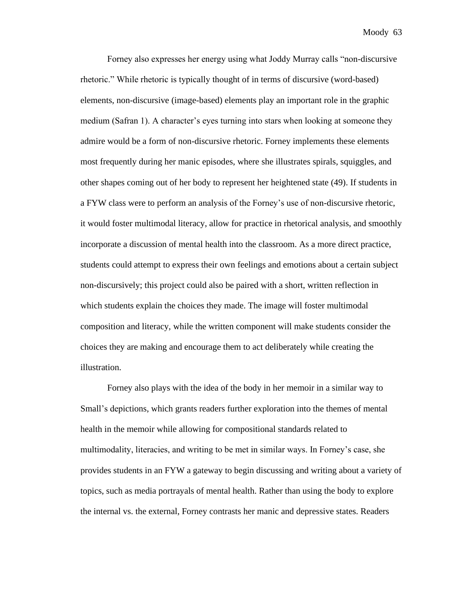Forney also expresses her energy using what Joddy Murray calls "non-discursive rhetoric." While rhetoric is typically thought of in terms of discursive (word-based) elements, non-discursive (image-based) elements play an important role in the graphic medium (Safran 1). A character's eyes turning into stars when looking at someone they admire would be a form of non-discursive rhetoric. Forney implements these elements most frequently during her manic episodes, where she illustrates spirals, squiggles, and other shapes coming out of her body to represent her heightened state (49). If students in a FYW class were to perform an analysis of the Forney's use of non-discursive rhetoric, it would foster multimodal literacy, allow for practice in rhetorical analysis, and smoothly incorporate a discussion of mental health into the classroom. As a more direct practice, students could attempt to express their own feelings and emotions about a certain subject non-discursively; this project could also be paired with a short, written reflection in which students explain the choices they made. The image will foster multimodal composition and literacy, while the written component will make students consider the choices they are making and encourage them to act deliberately while creating the illustration.

Forney also plays with the idea of the body in her memoir in a similar way to Small's depictions, which grants readers further exploration into the themes of mental health in the memoir while allowing for compositional standards related to multimodality, literacies, and writing to be met in similar ways. In Forney's case, she provides students in an FYW a gateway to begin discussing and writing about a variety of topics, such as media portrayals of mental health. Rather than using the body to explore the internal vs. the external, Forney contrasts her manic and depressive states. Readers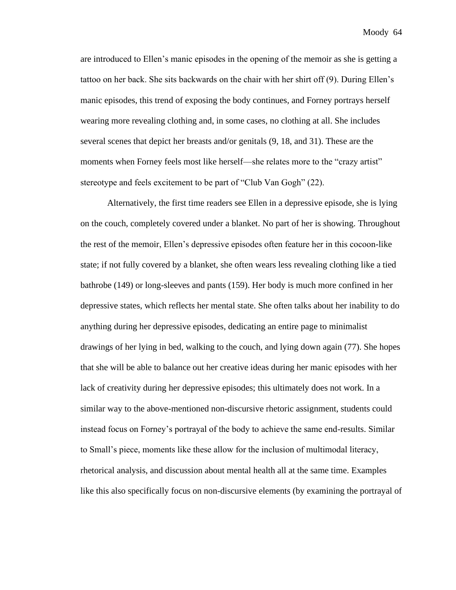are introduced to Ellen's manic episodes in the opening of the memoir as she is getting a tattoo on her back. She sits backwards on the chair with her shirt off (9). During Ellen's manic episodes, this trend of exposing the body continues, and Forney portrays herself wearing more revealing clothing and, in some cases, no clothing at all. She includes several scenes that depict her breasts and/or genitals (9, 18, and 31). These are the moments when Forney feels most like herself—she relates more to the "crazy artist" stereotype and feels excitement to be part of "Club Van Gogh" (22).

Alternatively, the first time readers see Ellen in a depressive episode, she is lying on the couch, completely covered under a blanket. No part of her is showing. Throughout the rest of the memoir, Ellen's depressive episodes often feature her in this cocoon-like state; if not fully covered by a blanket, she often wears less revealing clothing like a tied bathrobe (149) or long-sleeves and pants (159). Her body is much more confined in her depressive states, which reflects her mental state. She often talks about her inability to do anything during her depressive episodes, dedicating an entire page to minimalist drawings of her lying in bed, walking to the couch, and lying down again (77). She hopes that she will be able to balance out her creative ideas during her manic episodes with her lack of creativity during her depressive episodes; this ultimately does not work. In a similar way to the above-mentioned non-discursive rhetoric assignment, students could instead focus on Forney's portrayal of the body to achieve the same end-results. Similar to Small's piece, moments like these allow for the inclusion of multimodal literacy, rhetorical analysis, and discussion about mental health all at the same time. Examples like this also specifically focus on non-discursive elements (by examining the portrayal of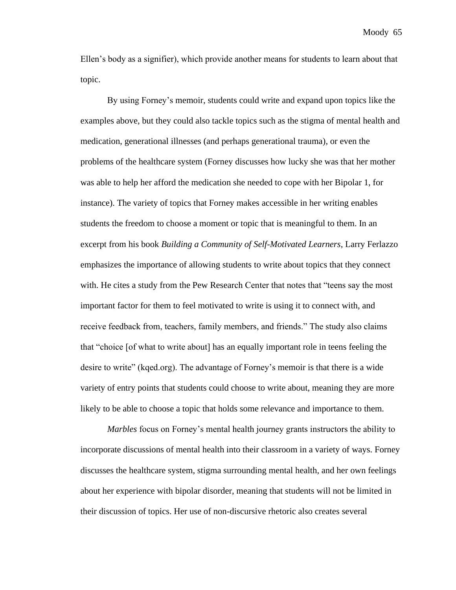Ellen's body as a signifier), which provide another means for students to learn about that topic.

By using Forney's memoir, students could write and expand upon topics like the examples above, but they could also tackle topics such as the stigma of mental health and medication, generational illnesses (and perhaps generational trauma), or even the problems of the healthcare system (Forney discusses how lucky she was that her mother was able to help her afford the medication she needed to cope with her Bipolar 1, for instance). The variety of topics that Forney makes accessible in her writing enables students the freedom to choose a moment or topic that is meaningful to them. In an excerpt from his book *Building a Community of Self-Motivated Learners*, Larry Ferlazzo emphasizes the importance of allowing students to write about topics that they connect with. He cites a study from the Pew Research Center that notes that "teens say the most important factor for them to feel motivated to write is using it to connect with, and receive feedback from, teachers, family members, and friends." The study also claims that "choice [of what to write about] has an equally important role in teens feeling the desire to write" (kqed.org). The advantage of Forney's memoir is that there is a wide variety of entry points that students could choose to write about, meaning they are more likely to be able to choose a topic that holds some relevance and importance to them.

*Marbles* focus on Forney's mental health journey grants instructors the ability to incorporate discussions of mental health into their classroom in a variety of ways. Forney discusses the healthcare system, stigma surrounding mental health, and her own feelings about her experience with bipolar disorder, meaning that students will not be limited in their discussion of topics. Her use of non-discursive rhetoric also creates several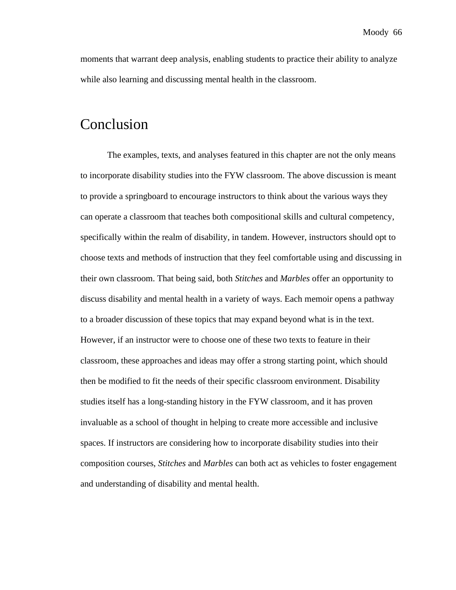moments that warrant deep analysis, enabling students to practice their ability to analyze while also learning and discussing mental health in the classroom.

#### Conclusion

The examples, texts, and analyses featured in this chapter are not the only means to incorporate disability studies into the FYW classroom. The above discussion is meant to provide a springboard to encourage instructors to think about the various ways they can operate a classroom that teaches both compositional skills and cultural competency, specifically within the realm of disability, in tandem. However, instructors should opt to choose texts and methods of instruction that they feel comfortable using and discussing in their own classroom. That being said, both *Stitches* and *Marbles* offer an opportunity to discuss disability and mental health in a variety of ways. Each memoir opens a pathway to a broader discussion of these topics that may expand beyond what is in the text. However, if an instructor were to choose one of these two texts to feature in their classroom, these approaches and ideas may offer a strong starting point, which should then be modified to fit the needs of their specific classroom environment. Disability studies itself has a long-standing history in the FYW classroom, and it has proven invaluable as a school of thought in helping to create more accessible and inclusive spaces. If instructors are considering how to incorporate disability studies into their composition courses, *Stitches* and *Marbles* can both act as vehicles to foster engagement and understanding of disability and mental health.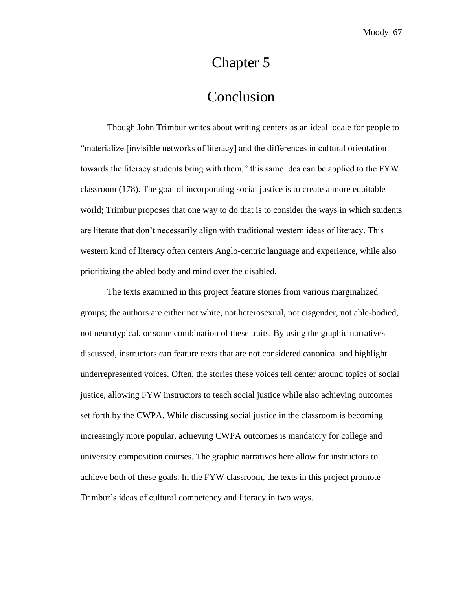# Chapter 5

## Conclusion

Though John Trimbur writes about writing centers as an ideal locale for people to "materialize [invisible networks of literacy] and the differences in cultural orientation towards the literacy students bring with them," this same idea can be applied to the FYW classroom (178). The goal of incorporating social justice is to create a more equitable world; Trimbur proposes that one way to do that is to consider the ways in which students are literate that don't necessarily align with traditional western ideas of literacy. This western kind of literacy often centers Anglo-centric language and experience, while also prioritizing the abled body and mind over the disabled.

The texts examined in this project feature stories from various marginalized groups; the authors are either not white, not heterosexual, not cisgender, not able-bodied, not neurotypical, or some combination of these traits. By using the graphic narratives discussed, instructors can feature texts that are not considered canonical and highlight underrepresented voices. Often, the stories these voices tell center around topics of social justice, allowing FYW instructors to teach social justice while also achieving outcomes set forth by the CWPA. While discussing social justice in the classroom is becoming increasingly more popular, achieving CWPA outcomes is mandatory for college and university composition courses. The graphic narratives here allow for instructors to achieve both of these goals. In the FYW classroom, the texts in this project promote Trimbur's ideas of cultural competency and literacy in two ways.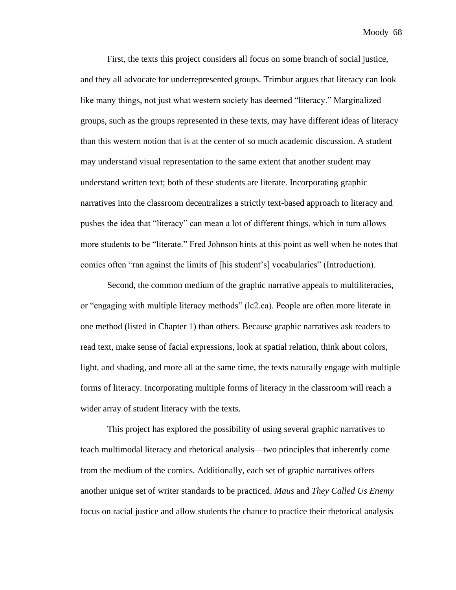First, the texts this project considers all focus on some branch of social justice, and they all advocate for underrepresented groups. Trimbur argues that literacy can look like many things, not just what western society has deemed "literacy." Marginalized groups, such as the groups represented in these texts, may have different ideas of literacy than this western notion that is at the center of so much academic discussion. A student may understand visual representation to the same extent that another student may understand written text; both of these students are literate. Incorporating graphic narratives into the classroom decentralizes a strictly text-based approach to literacy and pushes the idea that "literacy" can mean a lot of different things, which in turn allows more students to be "literate." Fred Johnson hints at this point as well when he notes that comics often "ran against the limits of [his student's] vocabularies" (Introduction).

Second, the common medium of the graphic narrative appeals to multiliteracies, or "engaging with multiple literacy methods" (lc2.ca). People are often more literate in one method (listed in Chapter 1) than others. Because graphic narratives ask readers to read text, make sense of facial expressions, look at spatial relation, think about colors, light, and shading, and more all at the same time, the texts naturally engage with multiple forms of literacy. Incorporating multiple forms of literacy in the classroom will reach a wider array of student literacy with the texts.

This project has explored the possibility of using several graphic narratives to teach multimodal literacy and rhetorical analysis—two principles that inherently come from the medium of the comics. Additionally, each set of graphic narratives offers another unique set of writer standards to be practiced. *Maus* and *They Called Us Enemy* focus on racial justice and allow students the chance to practice their rhetorical analysis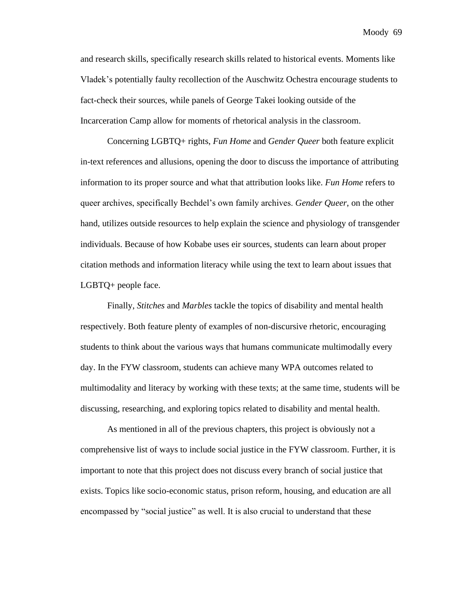and research skills, specifically research skills related to historical events. Moments like Vladek's potentially faulty recollection of the Auschwitz Ochestra encourage students to fact-check their sources, while panels of George Takei looking outside of the Incarceration Camp allow for moments of rhetorical analysis in the classroom.

Concerning LGBTQ+ rights, *Fun Home* and *Gender Queer* both feature explicit in-text references and allusions, opening the door to discuss the importance of attributing information to its proper source and what that attribution looks like. *Fun Home* refers to queer archives, specifically Bechdel's own family archives. *Gender Queer*, on the other hand, utilizes outside resources to help explain the science and physiology of transgender individuals. Because of how Kobabe uses eir sources, students can learn about proper citation methods and information literacy while using the text to learn about issues that LGBTQ+ people face.

Finally, *Stitches* and *Marbles* tackle the topics of disability and mental health respectively. Both feature plenty of examples of non-discursive rhetoric, encouraging students to think about the various ways that humans communicate multimodally every day. In the FYW classroom, students can achieve many WPA outcomes related to multimodality and literacy by working with these texts; at the same time, students will be discussing, researching, and exploring topics related to disability and mental health.

As mentioned in all of the previous chapters, this project is obviously not a comprehensive list of ways to include social justice in the FYW classroom. Further, it is important to note that this project does not discuss every branch of social justice that exists. Topics like socio-economic status, prison reform, housing, and education are all encompassed by "social justice" as well. It is also crucial to understand that these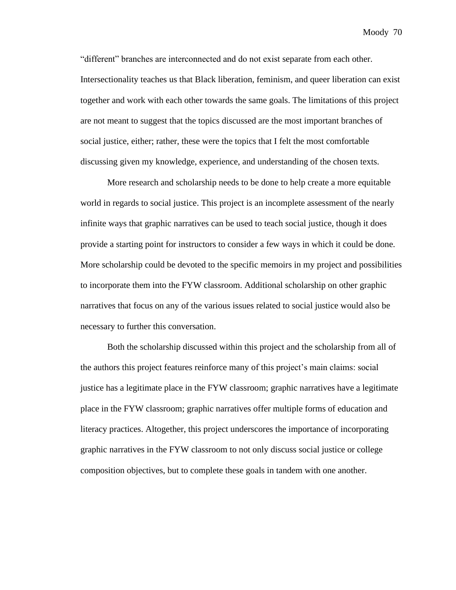"different" branches are interconnected and do not exist separate from each other. Intersectionality teaches us that Black liberation, feminism, and queer liberation can exist together and work with each other towards the same goals. The limitations of this project are not meant to suggest that the topics discussed are the most important branches of social justice, either; rather, these were the topics that I felt the most comfortable discussing given my knowledge, experience, and understanding of the chosen texts.

More research and scholarship needs to be done to help create a more equitable world in regards to social justice. This project is an incomplete assessment of the nearly infinite ways that graphic narratives can be used to teach social justice, though it does provide a starting point for instructors to consider a few ways in which it could be done. More scholarship could be devoted to the specific memoirs in my project and possibilities to incorporate them into the FYW classroom. Additional scholarship on other graphic narratives that focus on any of the various issues related to social justice would also be necessary to further this conversation.

Both the scholarship discussed within this project and the scholarship from all of the authors this project features reinforce many of this project's main claims: social justice has a legitimate place in the FYW classroom; graphic narratives have a legitimate place in the FYW classroom; graphic narratives offer multiple forms of education and literacy practices. Altogether, this project underscores the importance of incorporating graphic narratives in the FYW classroom to not only discuss social justice or college composition objectives, but to complete these goals in tandem with one another.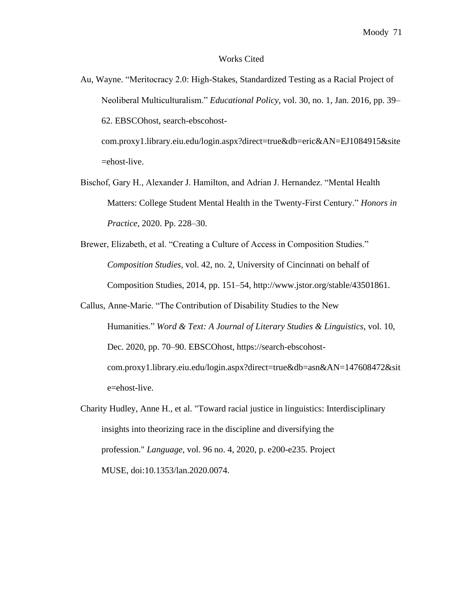#### Works Cited

Au, Wayne. "Meritocracy 2.0: High-Stakes, Standardized Testing as a Racial Project of Neoliberal Multiculturalism." *Educational Policy*, vol. 30, no. 1, Jan. 2016, pp. 39– 62. EBSCOhost, search-ebscohost-

com.proxy1.library.eiu.edu/login.aspx?direct=true&db=eric&AN=EJ1084915&site =ehost-live.

- Bischof, Gary H., Alexander J. Hamilton, and Adrian J. Hernandez. "Mental Health Matters: College Student Mental Health in the Twenty-First Century." *Honors in Practice*, 2020. Pp. 228–30.
- Brewer, Elizabeth, et al. "Creating a Culture of Access in Composition Studies." *Composition Studies*, vol. 42, no. 2, University of Cincinnati on behalf of Composition Studies, 2014, pp. 151–54, http://www.jstor.org/stable/43501861.
- Callus, Anne-Marie. "The Contribution of Disability Studies to the New Humanities." *Word & Text: A Journal of Literary Studies & Linguistics*, vol. 10, Dec. 2020, pp. 70–90. EBSCOhost, https://search-ebscohostcom.proxy1.library.eiu.edu/login.aspx?direct=true&db=asn&AN=147608472&sit e=ehost-live.
- Charity Hudley, Anne H., et al. "Toward racial justice in linguistics: Interdisciplinary insights into theorizing race in the discipline and diversifying the profession." *Language*, vol. 96 no. 4, 2020, p. e200-e235. Project MUSE, [doi:10.1353/lan.2020.0074.](http://doi.org/10.1353/lan.2020.0074)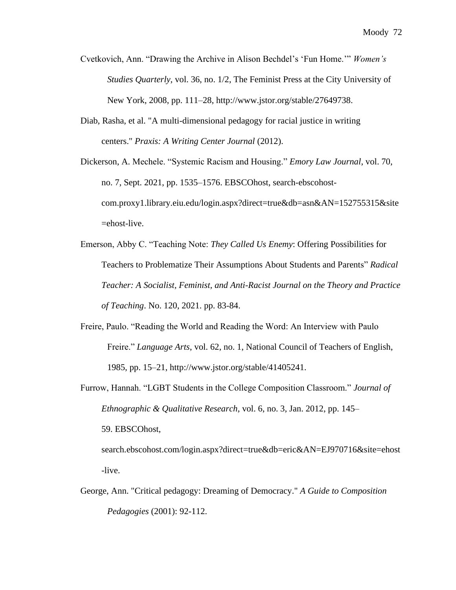- Cvetkovich, Ann. "Drawing the Archive in Alison Bechdel's 'Fun Home.'" *Women's Studies Quarterly*, vol. 36, no. 1/2, The Feminist Press at the City University of New York, 2008, pp. 111–28, http://www.jstor.org/stable/27649738.
- Diab, Rasha, et al. "A multi-dimensional pedagogy for racial justice in writing centers." *Praxis: A Writing Center Journal* (2012).

Dickerson, A. Mechele. "Systemic Racism and Housing." *Emory Law Journal*, vol. 70, no. 7, Sept. 2021, pp. 1535–1576. EBSCOhost, search-ebscohostcom.proxy1.library.eiu.edu/login.aspx?direct=true&db=asn&AN=152755315&site =ehost-live.

Emerson, Abby C. "Teaching Note: *They Called Us Enemy*: Offering Possibilities for Teachers to Problematize Their Assumptions About Students and Parents" *Radical Teacher: A Socialist, Feminist, and Anti-Racist Journal on the Theory and Practice of Teaching*. No. 120, 2021. pp. 83-84.

- Freire, Paulo. "Reading the World and Reading the Word: An Interview with Paulo Freire." *Language Arts*, vol. 62, no. 1, National Council of Teachers of English, 1985, pp. 15–21, http://www.jstor.org/stable/41405241.
- Furrow, Hannah. "LGBT Students in the College Composition Classroom." *Journal of Ethnographic & Qualitative Research*, vol. 6, no. 3, Jan. 2012, pp. 145– 59. EBSCOhost, search.ebscohost.com/login.aspx?direct=true&db=eric&AN=EJ970716&site=ehost -live.
- George, Ann. "Critical pedagogy: Dreaming of Democracy." *A Guide to Composition Pedagogies* (2001): 92-112.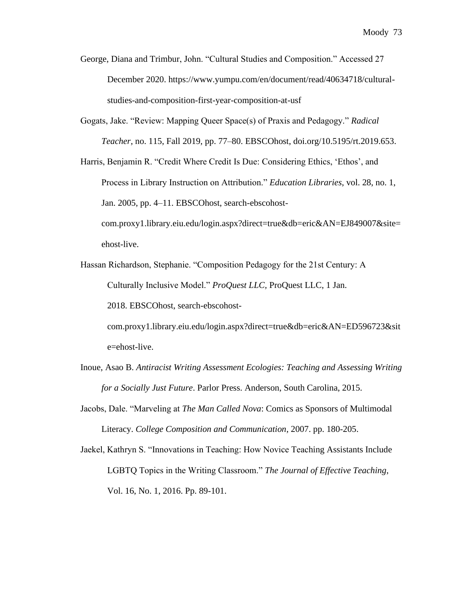- George, Diana and Trimbur, John. "Cultural Studies and Composition." Accessed 27 December 2020. https://www.yumpu.com/en/document/read/40634718/culturalstudies-and-composition-first-year-composition-at-usf
- Gogats, Jake. "Review: Mapping Queer Space(s) of Praxis and Pedagogy." *Radical Teacher*, no. 115, Fall 2019, pp. 77–80. EBSCOhost, doi.org/10.5195/rt.2019.653.

Harris, Benjamin R. "Credit Where Credit Is Due: Considering Ethics, 'Ethos', and Process in Library Instruction on Attribution." *Education Libraries*, vol. 28, no. 1, Jan. 2005, pp. 4–11. EBSCOhost, search-ebscohostcom.proxy1.library.eiu.edu/login.aspx?direct=true&db=eric&AN=EJ849007&site= ehost-live.

Hassan Richardson, Stephanie. "Composition Pedagogy for the 21st Century: A Culturally Inclusive Model." *ProQuest LLC,* ProQuest LLC, 1 Jan.

2018. EBSCOhost, search-ebscohost-

com.proxy1.library.eiu.edu/login.aspx?direct=true&db=eric&AN=ED596723&sit e=ehost-live.

- Inoue, Asao B. *Antiracist Writing Assessment Ecologies: Teaching and Assessing Writing for a Socially Just Future*. Parlor Press. Anderson, South Carolina, 2015.
- Jacobs, Dale. "Marveling at *The Man Called Nova*: Comics as Sponsors of Multimodal Literacy. *College Composition and Communication*, 2007. pp. 180-205.
- Jaekel, Kathryn S. "Innovations in Teaching: How Novice Teaching Assistants Include LGBTQ Topics in the Writing Classroom." *The Journal of Effective Teaching*, Vol. 16, No. 1, 2016. Pp. 89-101.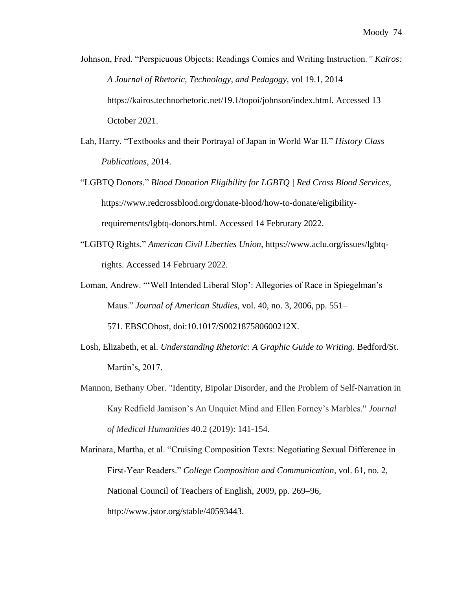- Johnson, Fred. "Perspicuous Objects: Readings Comics and Writing Instruction*." [Kairos:](https://kairos.technorhetoric.net/)  [A Journal of Rhetoric, Technology, and Pedagogy](https://kairos.technorhetoric.net/)*, vol 19.1, 2014 https://kairos.technorhetoric.net/19.1/topoi/johnson/index.html. Accessed 13 October 2021.
- Lah, Harry. "Textbooks and their Portrayal of Japan in World War II." *History Class Publications*, 2014.
- "LGBTQ Donors." *Blood Donation Eligibility for LGBTQ | Red Cross Blood Services*, https://www.redcrossblood.org/donate-blood/how-to-donate/eligibilityrequirements/lgbtq-donors.html. Accessed 14 Februrary 2022.
- "LGBTQ Rights." *American Civil Liberties Union*, https://www.aclu.org/issues/lgbtqrights. Accessed 14 February 2022.
- Loman, Andrew. "'Well Intended Liberal Slop': Allegories of Race in Spiegelman's Maus." *Journal of American Studies,* vol. 40, no. 3, 2006, pp. 551– 571. EBSCOhost, doi:10.1017/S002187580600212X.
- Losh, Elizabeth, et al. *Understanding Rhetoric: A Graphic Guide to Writing*. Bedford/St. Martin's, 2017.
- Mannon, Bethany Ober. "Identity, Bipolar Disorder, and the Problem of Self-Narration in Kay Redfield Jamison's An Unquiet Mind and Ellen Forney's Marbles." *Journal of Medical Humanities* 40.2 (2019): 141-154.
- Marinara, Martha, et al. "Cruising Composition Texts: Negotiating Sexual Difference in First-Year Readers." *College Composition and Communication*, vol. 61, no. 2, National Council of Teachers of English, 2009, pp. 269–96, http://www.jstor.org/stable/40593443.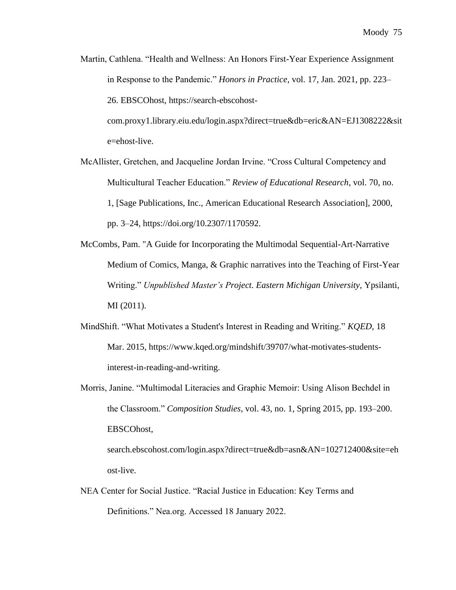Martin, Cathlena. "Health and Wellness: An Honors First-Year Experience Assignment in Response to the Pandemic." *Honors in Practice*, vol. 17, Jan. 2021, pp. 223– 26. EBSCOhost, https://search-ebscohost-

com.proxy1.library.eiu.edu/login.aspx?direct=true&db=eric&AN=EJ1308222&sit e=ehost-live.

- McAllister, Gretchen, and Jacqueline Jordan Irvine. "Cross Cultural Competency and Multicultural Teacher Education." *Review of Educational Research*, vol. 70, no. 1, [Sage Publications, Inc., American Educational Research Association], 2000, pp. 3–24, https://doi.org/10.2307/1170592.
- McCombs, Pam. "A Guide for Incorporating the Multimodal Sequential-Art-Narrative Medium of Comics, Manga, & Graphic narratives into the Teaching of First-Year Writing." *Unpublished Master's Project. Eastern Michigan University*, Ypsilanti, MI (2011).
- MindShift. "What Motivates a Student's Interest in Reading and Writing." *KQED*, 18 Mar. 2015, https://www.kqed.org/mindshift/39707/what-motivates-studentsinterest-in-reading-and-writing.
- Morris, Janine. "Multimodal Literacies and Graphic Memoir: Using Alison Bechdel in the Classroom." *Composition Studies*, vol. 43, no. 1, Spring 2015, pp. 193–200. EBSCOhost, search.ebscohost.com/login.aspx?direct=true&db=asn&AN=102712400&site=eh ost-live.
- NEA Center for Social Justice. "Racial Justice in Education: Key Terms and Definitions." Nea.org. Accessed 18 January 2022.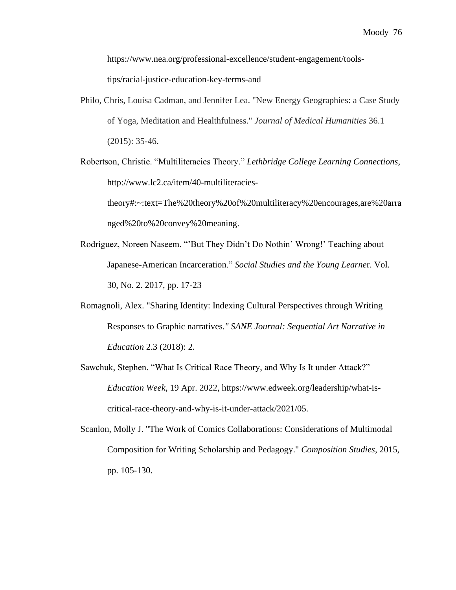[https://www.nea.org/professional-excellence/student-engagement/tools-](https://www.nea.org/professional-excellence/student-engagement/tools-tips/racial-justice-education-key-terms-and)

[tips/racial-justice-education-key-terms-and](https://www.nea.org/professional-excellence/student-engagement/tools-tips/racial-justice-education-key-terms-and)

Philo, Chris, Louisa Cadman, and Jennifer Lea. "New Energy Geographies: a Case Study of Yoga, Meditation and Healthfulness." *Journal of Medical Humanities* 36.1 (2015): 35-46.

Robertson, Christie. "Multiliteracies Theory." *Lethbridge College Learning Connections*, http://www.lc2.ca/item/40-multiliteracies-

theory#:~:text=The%20theory%20of%20multiliteracy%20encourages,are%20arra nged%20to%20convey%20meaning.

- Rodríguez, Noreen Naseem. "'But They Didn't Do Nothin' Wrong!' Teaching about Japanese-American Incarceration." *Social Studies and the Young Learne*r. Vol. 30, No. 2. 2017, pp. 17-23
- Romagnoli, Alex. "Sharing Identity: Indexing Cultural Perspectives through Writing Responses to Graphic narratives*." SANE Journal: Sequential Art Narrative in Education* 2.3 (2018): 2.
- Sawchuk, Stephen. "What Is Critical Race Theory, and Why Is It under Attack?" *Education Week*, 19 Apr. 2022, https://www.edweek.org/leadership/what-iscritical-race-theory-and-why-is-it-under-attack/2021/05.
- Scanlon, Molly J. "The Work of Comics Collaborations: Considerations of Multimodal Composition for Writing Scholarship and Pedagogy." *Composition Studies*, 2015, pp. 105-130.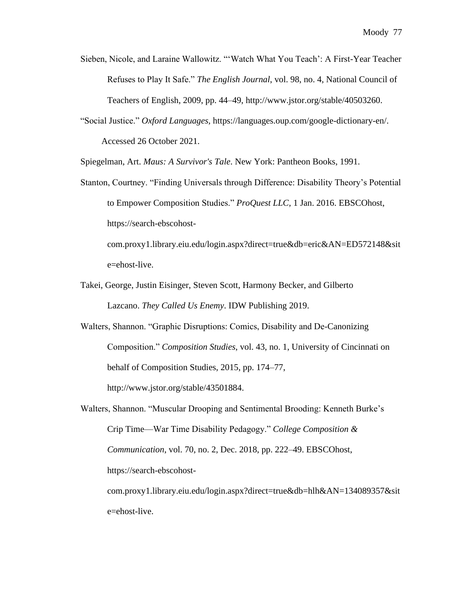- Sieben, Nicole, and Laraine Wallowitz. "'Watch What You Teach': A First-Year Teacher Refuses to Play It Safe." *The English Journal*, vol. 98, no. 4, National Council of Teachers of English, 2009, pp. 44–49, http://www.jstor.org/stable/40503260.
- "Social Justice." *Oxford Languages,* https://languages.oup.com/google-dictionary-en/. Accessed 26 October 2021.

Spiegelman, Art. *Maus: A Survivor's Tale*. New York: Pantheon Books, 1991.

Stanton, Courtney. "Finding Universals through Difference: Disability Theory's Potential to Empower Composition Studies." *ProQuest LLC,* 1 Jan. 2016. EBSCOhost, https://search-ebscohost-

com.proxy1.library.eiu.edu/login.aspx?direct=true&db=eric&AN=ED572148&sit e=ehost-live.

- Takei, George, Justin Eisinger, Steven Scott, Harmony Becker, and Gilberto Lazcano. *They Called Us Enemy*. IDW Publishing 2019.
- Walters, Shannon. "Graphic Disruptions: Comics, Disability and De-Canonizing Composition." *Composition Studies*, vol. 43, no. 1, University of Cincinnati on behalf of Composition Studies, 2015, pp. 174–77, http://www.jstor.org/stable/43501884.
- Walters, Shannon. "Muscular Drooping and Sentimental Brooding: Kenneth Burke's Crip Time—War Time Disability Pedagogy." *College Composition & Communication*, vol. 70, no. 2, Dec. 2018, pp. 222–49. EBSCOhost, https://search-ebscohost-

com.proxy1.library.eiu.edu/login.aspx?direct=true&db=hlh&AN=134089357&sit e=ehost-live.